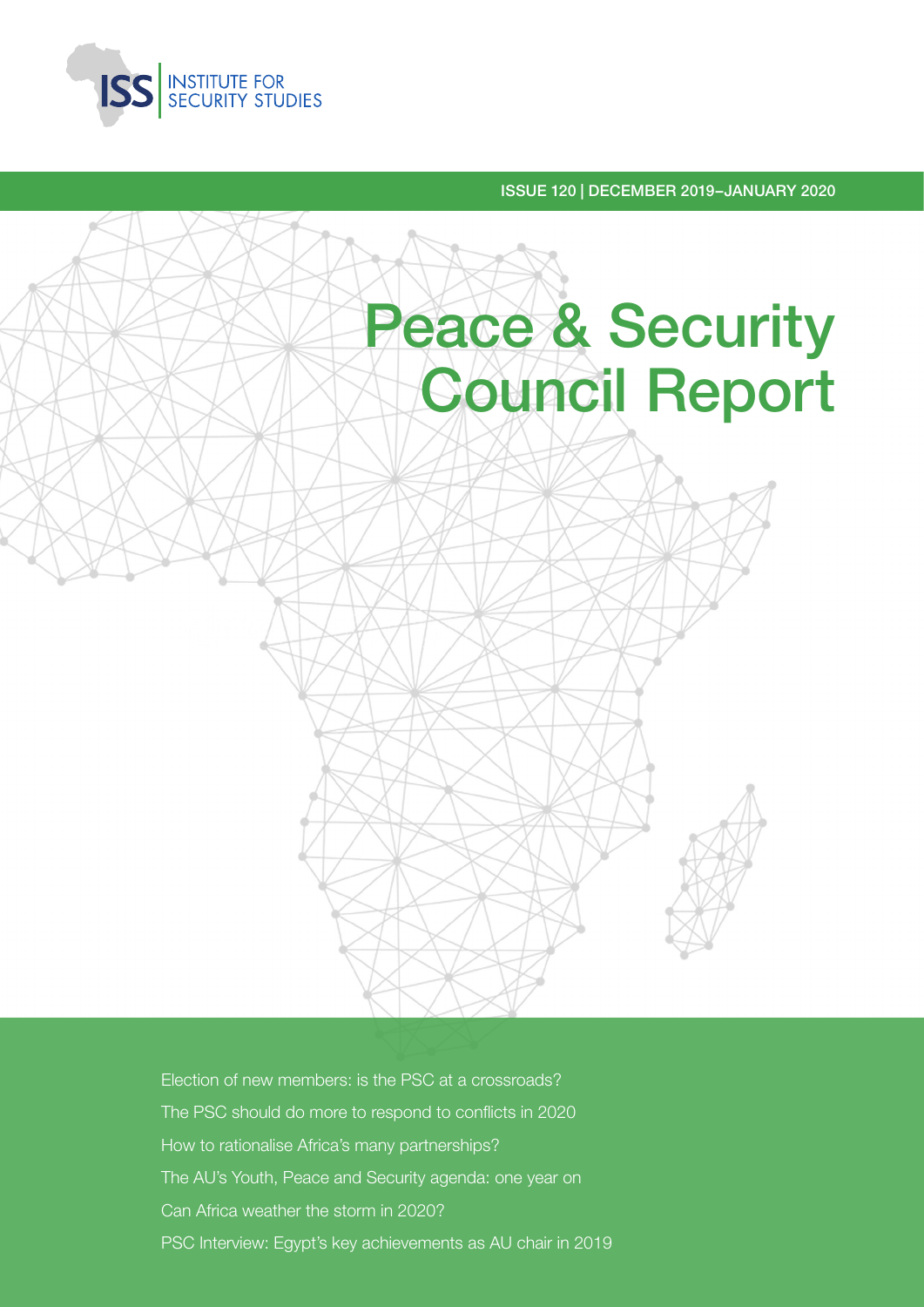

ISSUE 120 | DECEMBER 2019–JANUARY 2020



Election of new members: is the PSC at a crossroads? The PSC should do more to respond to conflicts in 2020 How to rationalise Africa's many partnerships? The AU's Youth, Peace and Security agenda: one year on Can Africa weather the storm in 2020? PSC Interview: Egypt's key achievements as AU chair in 2019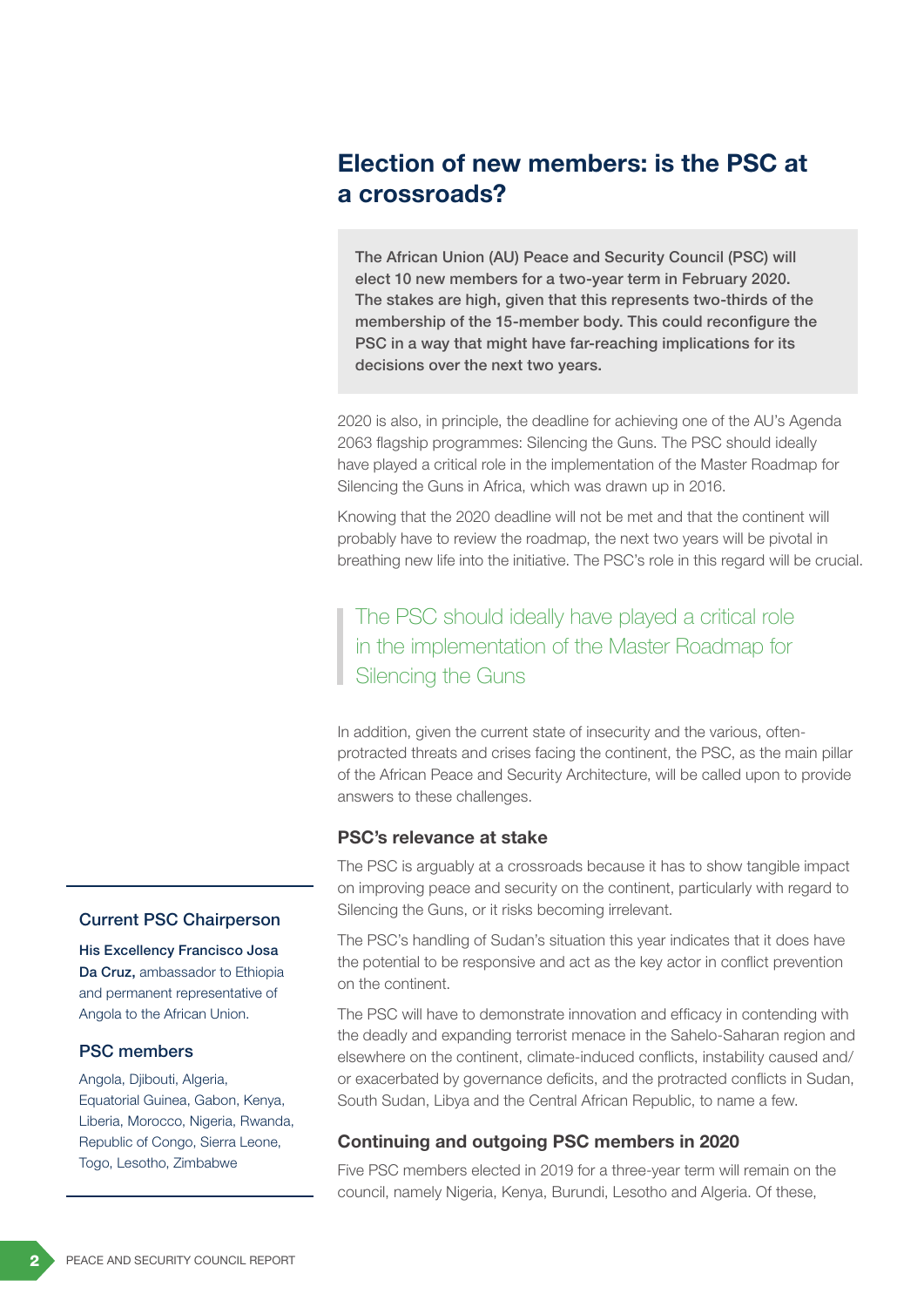# Election of new members: is the PSC at a crossroads?

The African Union (AU) Peace and Security Council (PSC) will elect 10 new members for a two-year term in February 2020. The stakes are high, given that this represents two-thirds of the membership of the 15-member body. This could reconfigure the PSC in a way that might have far-reaching implications for its decisions over the next two years.

2020 is also, in principle, the deadline for achieving one of the AU's Agenda 2063 flagship programmes: Silencing the Guns. The PSC should ideally have played a critical role in the implementation of the Master Roadmap for Silencing the Guns in Africa, which was drawn up in 2016.

Knowing that the 2020 deadline will not be met and that the continent will probably have to review the roadmap, the next two years will be pivotal in breathing new life into the initiative. The PSC's role in this regard will be crucial.

The PSC should ideally have played a critical role in the implementation of the Master Roadmap for Silencing the Guns

In addition, given the current state of insecurity and the various, oftenprotracted threats and crises facing the continent, the PSC, as the main pillar of the African Peace and Security Architecture, will be called upon to provide answers to these challenges.

#### PSC's relevance at stake

The PSC is arguably at a crossroads because it has to show tangible impact on improving peace and security on the continent, particularly with regard to Silencing the Guns, or it risks becoming irrelevant.

The PSC's handling of Sudan's situation this year indicates that it does have the potential to be responsive and act as the key actor in conflict prevention on the continent.

The PSC will have to demonstrate innovation and efficacy in contending with the deadly and expanding terrorist menace in the Sahelo-Saharan region and elsewhere on the continent, climate-induced conflicts, instability caused and/ or exacerbated by governance deficits, and the protracted conflicts in Sudan, South Sudan, Libya and the Central African Republic, to name a few.

### Continuing and outgoing PSC members in 2020

Five PSC members elected in 2019 for a three-year term will remain on the council, namely Nigeria, Kenya, Burundi, Lesotho and Algeria. Of these,

#### Current PSC Chairperson

His Excellency Francisco Josa Da Cruz, ambassador to Ethiopia and permanent representative of Angola to the African Union.

#### PSC members

Angola, Djibouti, Algeria, Equatorial Guinea, Gabon, Kenya, Liberia, Morocco, Nigeria, Rwanda, Republic of Congo, Sierra Leone, Togo, Lesotho, Zimbabwe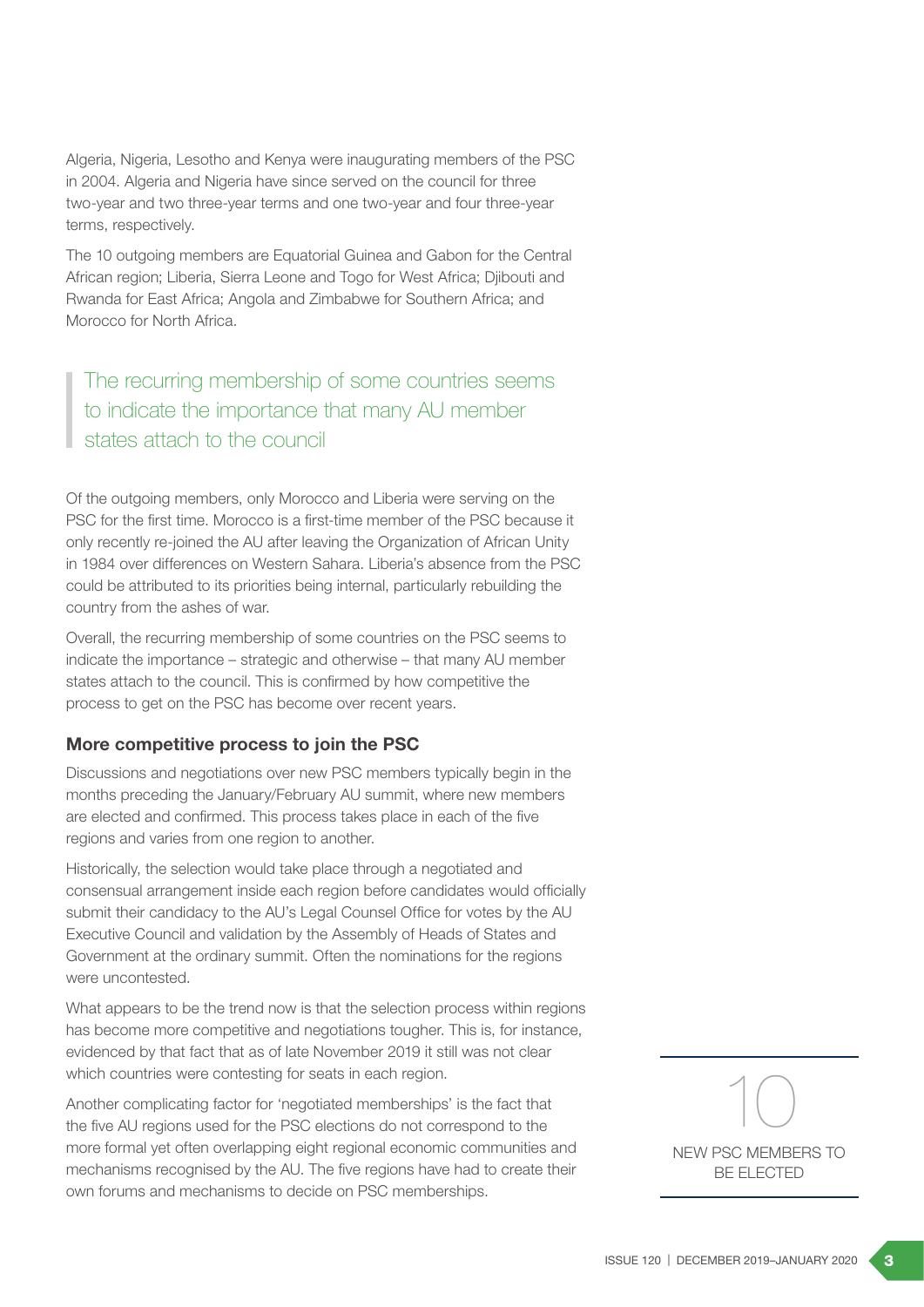Algeria, Nigeria, Lesotho and Kenya were inaugurating members of the PSC in 2004. Algeria and Nigeria have since served on the council for three two-year and two three-year terms and one two-year and four three-year terms, respectively.

The 10 outgoing members are Equatorial Guinea and Gabon for the Central African region; Liberia, Sierra Leone and Togo for West Africa; Djibouti and Rwanda for East Africa; Angola and Zimbabwe for Southern Africa; and Morocco for North Africa.

The recurring membership of some countries seems to indicate the importance that many AU member states attach to the council

Of the outgoing members, only Morocco and Liberia were serving on the PSC for the first time. Morocco is a first-time member of the PSC because it only recently re-joined the AU after leaving the Organization of African Unity in 1984 over differences on Western Sahara. Liberia's absence from the PSC could be attributed to its priorities being internal, particularly rebuilding the country from the ashes of war.

Overall, the recurring membership of some countries on the PSC seems to indicate the importance – strategic and otherwise – that many AU member states attach to the council. This is confirmed by how competitive the process to get on the PSC has become over recent years.

### More competitive process to join the PSC

Discussions and negotiations over new PSC members typically begin in the months preceding the January/February AU summit, where new members are elected and confirmed. This process takes place in each of the five regions and varies from one region to another.

Historically, the selection would take place through a negotiated and consensual arrangement inside each region before candidates would officially submit their candidacy to the AU's Legal Counsel Office for votes by the AU Executive Council and validation by the Assembly of Heads of States and Government at the ordinary summit. Often the nominations for the regions were uncontested.

What appears to be the trend now is that the selection process within regions has become more competitive and negotiations tougher. This is, for instance, evidenced by that fact that as of late November 2019 it still was not clear which countries were contesting for seats in each region.

Another complicating factor for 'negotiated memberships' is the fact that the five AU regions used for the PSC elections do not correspond to the more formal yet often overlapping eight regional economic communities and mechanisms recognised by the AU. The five regions have had to create their own forums and mechanisms to decide on PSC memberships.

# NEW PSC MEMBERS TO BE ELECTED 10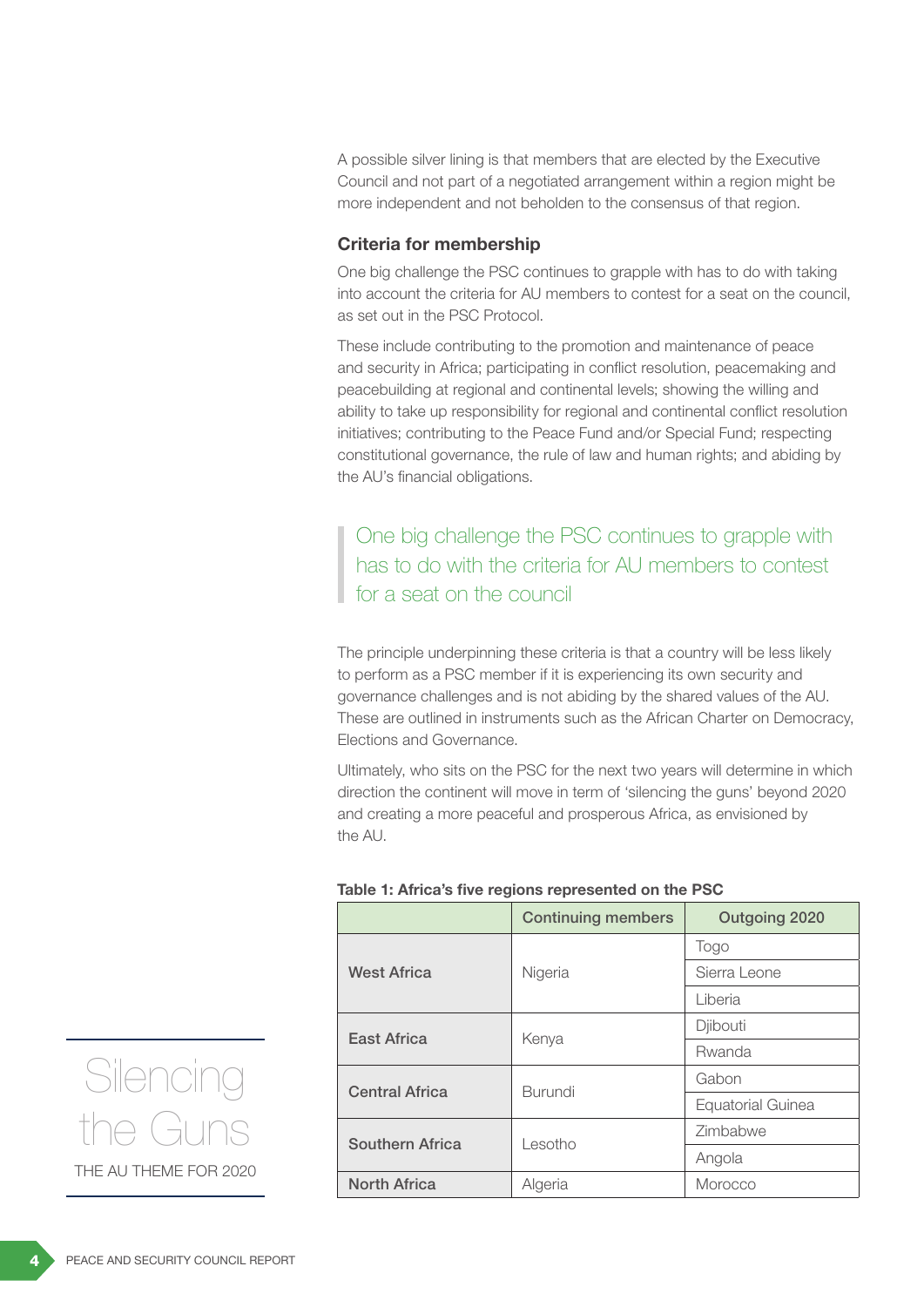A possible silver lining is that members that are elected by the Executive Council and not part of a negotiated arrangement within a region might be more independent and not beholden to the consensus of that region.

#### Criteria for membership

One big challenge the PSC continues to grapple with has to do with taking into account the criteria for AU members to contest for a seat on the council, as set out in the PSC Protocol.

These include contributing to the promotion and maintenance of peace and security in Africa; participating in conflict resolution, peacemaking and peacebuilding at regional and continental levels; showing the willing and ability to take up responsibility for regional and continental conflict resolution initiatives; contributing to the Peace Fund and/or Special Fund; respecting constitutional governance, the rule of law and human rights; and abiding by the AU's financial obligations.

# One big challenge the PSC continues to grapple with has to do with the criteria for AU members to contest for a seat on the council

The principle underpinning these criteria is that a country will be less likely to perform as a PSC member if it is experiencing its own security and governance challenges and is not abiding by the shared values of the AU. These are outlined in instruments such as the African Charter on Democracy, Elections and Governance.

Ultimately, who sits on the PSC for the next two years will determine in which direction the continent will move in term of 'silencing the guns' beyond 2020 and creating a more peaceful and prosperous Africa, as envisioned by the AU.

|                        | <b>Continuing members</b> | Outgoing 2020     |
|------------------------|---------------------------|-------------------|
| <b>West Africa</b>     | Nigeria                   | Togo              |
|                        |                           | Sierra Leone      |
|                        |                           | Liberia           |
| <b>East Africa</b>     | Kenya                     | Djibouti          |
|                        |                           | Rwanda            |
| <b>Central Africa</b>  | <b>Burundi</b>            | Gabon             |
|                        |                           | Equatorial Guinea |
| <b>Southern Africa</b> | Lesotho                   | Zimbabwe          |
|                        |                           | Angola            |
| <b>North Africa</b>    | Algeria                   | Morocco           |

#### Table 1: Africa's five regions represented on the PSC

THE AU THEME FOR 2020 Silencing the Gur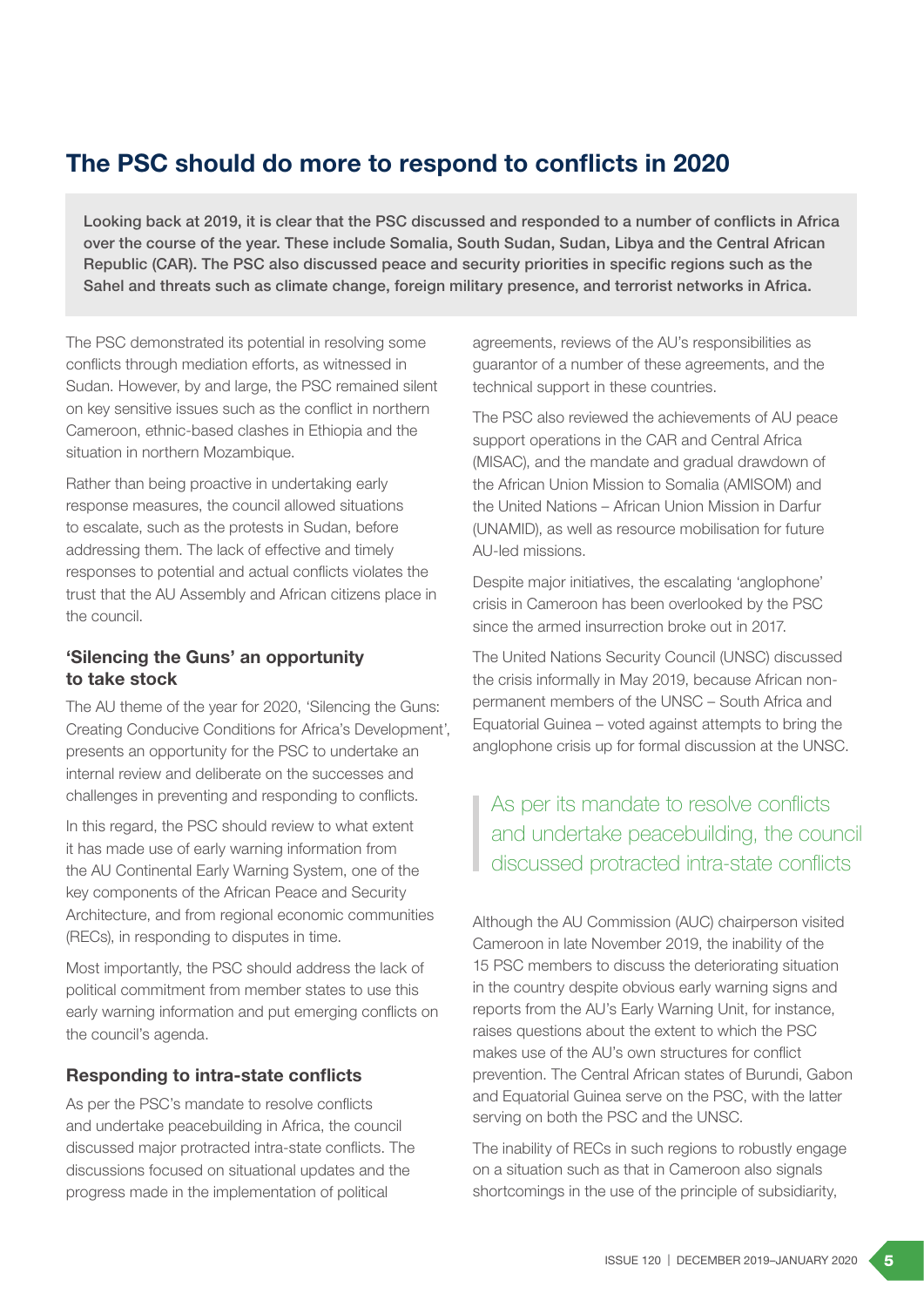# The PSC should do more to respond to conflicts in 2020

Looking back at 2019, it is clear that the PSC discussed and responded to a number of conflicts in Africa over the course of the year. These include Somalia, South Sudan, Sudan, Libya and the Central African Republic (CAR). The PSC also discussed peace and security priorities in specific regions such as the Sahel and threats such as climate change, foreign military presence, and terrorist networks in Africa.

The PSC demonstrated its potential in resolving some conflicts through mediation efforts, as witnessed in Sudan. However, by and large, the PSC remained silent on key sensitive issues such as the conflict in northern Cameroon, ethnic-based clashes in Ethiopia and the situation in northern Mozambique.

Rather than being proactive in undertaking early response measures, the council allowed situations to escalate, such as the protests in Sudan, before addressing them. The lack of effective and timely responses to potential and actual conflicts violates the trust that the AU Assembly and African citizens place in the council.

### 'Silencing the Guns' an opportunity to take stock

The AU theme of the year for 2020, 'Silencing the Guns: Creating Conducive Conditions for Africa's Development', presents an opportunity for the PSC to undertake an internal review and deliberate on the successes and challenges in preventing and responding to conflicts.

In this regard, the PSC should review to what extent it has made use of early warning information from the AU Continental Early Warning System, one of the key components of the African Peace and Security Architecture, and from regional economic communities (RECs), in responding to disputes in time.

Most importantly, the PSC should address the lack of political commitment from member states to use this early warning information and put emerging conflicts on the council's agenda.

### Responding to intra-state conflicts

As per the PSC's mandate to resolve conflicts and undertake peacebuilding in Africa, the council discussed major protracted intra-state conflicts. The discussions focused on situational updates and the progress made in the implementation of political

agreements, reviews of the AU's responsibilities as guarantor of a number of these agreements, and the technical support in these countries.

The PSC also reviewed the achievements of AU peace support operations in the CAR and Central Africa (MISAC), and the mandate and gradual drawdown of the African Union Mission to Somalia (AMISOM) and the United Nations – African Union Mission in Darfur (UNAMID), as well as resource mobilisation for future AU-led missions.

Despite major initiatives, the escalating 'anglophone' crisis in Cameroon has been overlooked by the PSC since the armed insurrection broke out in 2017.

The United Nations Security Council (UNSC) discussed the crisis informally in May 2019, because African nonpermanent members of the UNSC – South Africa and Equatorial Guinea – voted against attempts to bring the anglophone crisis up for formal discussion at the UNSC.

As per its mandate to resolve conflicts and undertake peacebuilding, the council discussed protracted intra-state conflicts

Although the AU Commission (AUC) chairperson visited Cameroon in late November 2019, the inability of the 15 PSC members to discuss the deteriorating situation in the country despite obvious early warning signs and reports from the AU's Early Warning Unit, for instance, raises questions about the extent to which the PSC makes use of the AU's own structures for conflict prevention. The Central African states of Burundi, Gabon and Equatorial Guinea serve on the PSC, with the latter serving on both the PSC and the UNSC.

The inability of RECs in such regions to robustly engage on a situation such as that in Cameroon also signals shortcomings in the use of the principle of subsidiarity,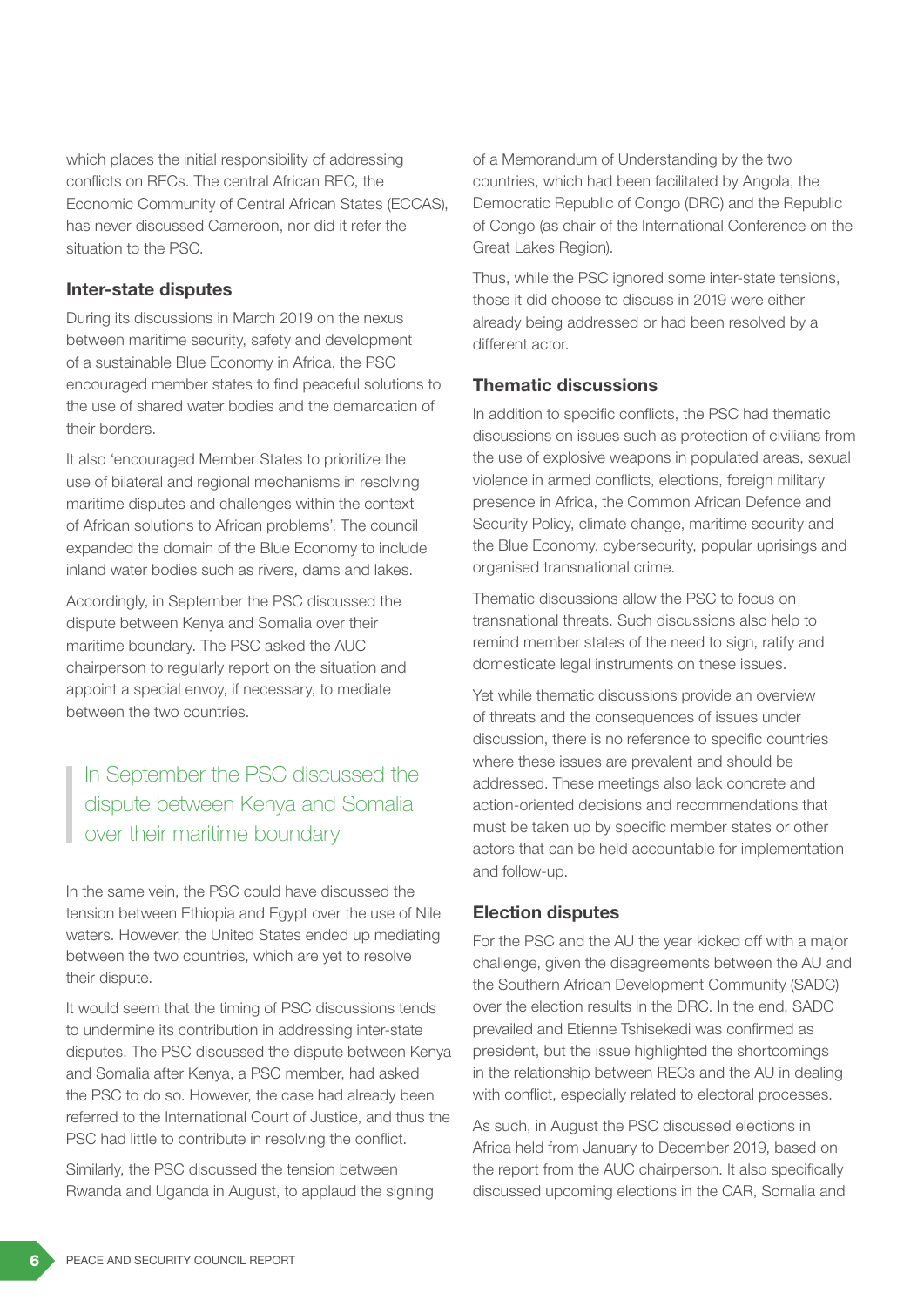which places the initial responsibility of addressing conflicts on RECs. The central African REC, the Economic Community of Central African States (ECCAS), has never discussed Cameroon, nor did it refer the situation to the PSC.

### Inter-state disputes

During its discussions in March 2019 on the nexus between maritime security, safety and development of a sustainable Blue Economy in Africa, the PSC encouraged member states to find peaceful solutions to the use of shared water bodies and the demarcation of their borders.

It also 'encouraged Member States to prioritize the use of bilateral and regional mechanisms in resolving maritime disputes and challenges within the context of African solutions to African problems'. The council expanded the domain of the Blue Economy to include inland water bodies such as rivers, dams and lakes.

Accordingly, in September the PSC discussed the dispute between Kenya and Somalia over their maritime boundary. The PSC asked the AUC chairperson to regularly report on the situation and appoint a special envoy, if necessary, to mediate between the two countries.

# In September the PSC discussed the dispute between Kenya and Somalia over their maritime boundary

In the same vein, the PSC could have discussed the tension between Ethiopia and Egypt over the use of Nile waters. However, the United States ended up mediating between the two countries, which are yet to resolve their dispute.

It would seem that the timing of PSC discussions tends to undermine its contribution in addressing inter-state disputes. The PSC discussed the dispute between Kenya and Somalia after Kenya, a PSC member, had asked the PSC to do so. However, the case had already been referred to the International Court of Justice, and thus the PSC had little to contribute in resolving the conflict.

Similarly, the PSC discussed the tension between Rwanda and Uganda in August, to applaud the signing of a Memorandum of Understanding by the two countries, which had been facilitated by Angola, the Democratic Republic of Congo (DRC) and the Republic of Congo (as chair of the International Conference on the Great Lakes Region).

Thus, while the PSC ignored some inter-state tensions, those it did choose to discuss in 2019 were either already being addressed or had been resolved by a different actor.

#### Thematic discussions

In addition to specific conflicts, the PSC had thematic discussions on issues such as protection of civilians from the use of explosive weapons in populated areas, sexual violence in armed conflicts, elections, foreign military presence in Africa, the Common African Defence and Security Policy, climate change, maritime security and the Blue Economy, cybersecurity, popular uprisings and organised transnational crime.

Thematic discussions allow the PSC to focus on transnational threats. Such discussions also help to remind member states of the need to sign, ratify and domesticate legal instruments on these issues.

Yet while thematic discussions provide an overview of threats and the consequences of issues under discussion, there is no reference to specific countries where these issues are prevalent and should be addressed. These meetings also lack concrete and action-oriented decisions and recommendations that must be taken up by specific member states or other actors that can be held accountable for implementation and follow-up.

#### Election disputes

For the PSC and the AU the year kicked off with a major challenge, given the disagreements between the AU and the Southern African Development Community (SADC) over the election results in the DRC. In the end, SADC prevailed and Etienne Tshisekedi was confirmed as president, but the issue highlighted the shortcomings in the relationship between RECs and the AU in dealing with conflict, especially related to electoral processes.

As such, in August the PSC discussed elections in Africa held from January to December 2019, based on the report from the AUC chairperson. It also specifically discussed upcoming elections in the CAR, Somalia and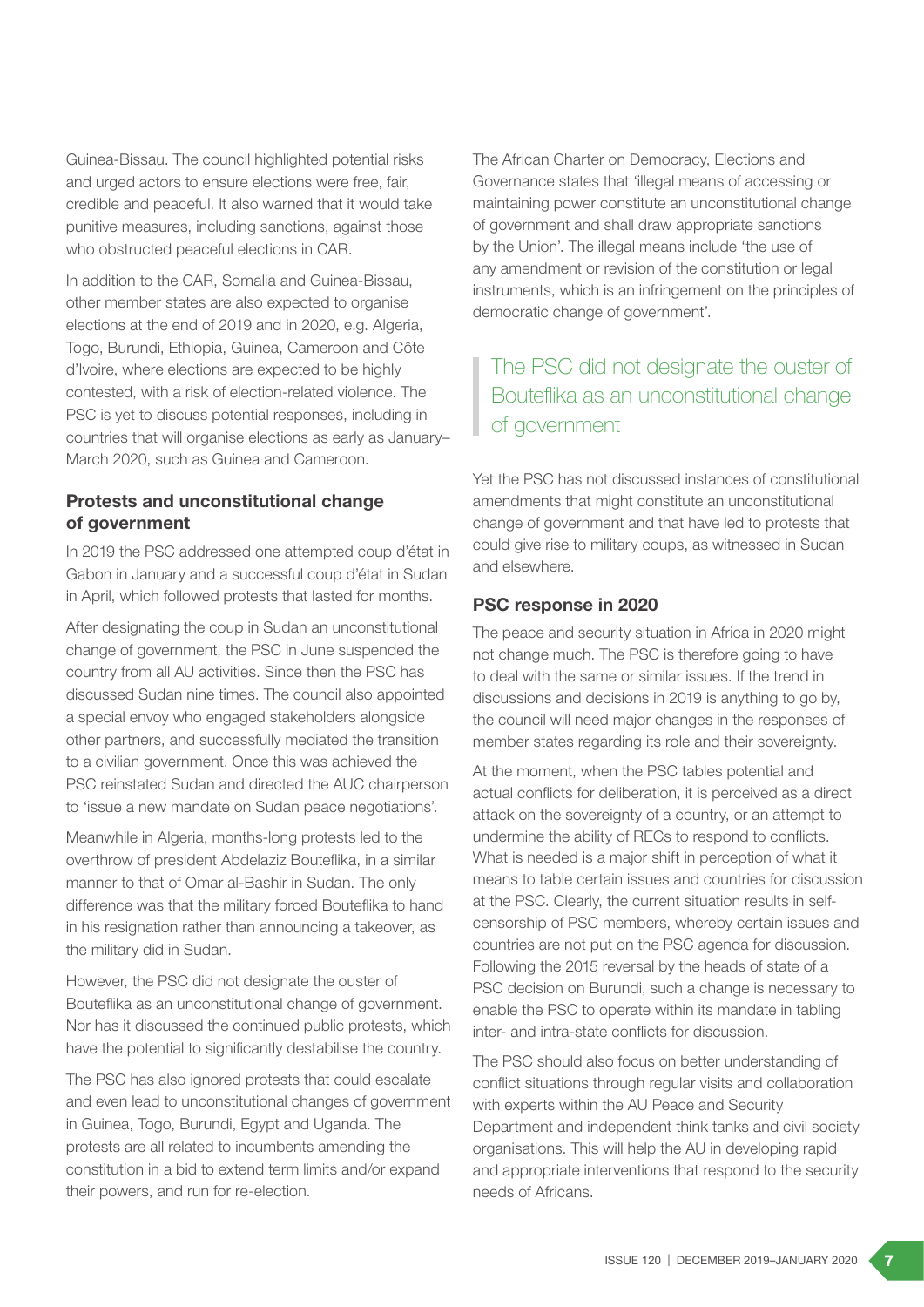Guinea-Bissau. The council highlighted potential risks and urged actors to ensure elections were free, fair, credible and peaceful. It also warned that it would take punitive measures, including sanctions, against those who obstructed peaceful elections in CAR.

In addition to the CAR, Somalia and Guinea-Bissau, other member states are also expected to organise elections at the end of 2019 and in 2020, e.g. Algeria, Togo, Burundi, Ethiopia, Guinea, Cameroon and Côte d'Ivoire, where elections are expected to be highly contested, with a risk of election-related violence. The PSC is yet to discuss potential responses, including in countries that will organise elections as early as January– March 2020, such as Guinea and Cameroon.

### Protests and unconstitutional change of government

In 2019 the PSC addressed one attempted coup d'état in Gabon in January and a successful coup d'état in Sudan in April, which followed protests that lasted for months.

After designating the coup in Sudan an unconstitutional change of government, the PSC in June suspended the country from all AU activities. Since then the PSC has discussed Sudan nine times. The council also appointed a special envoy who engaged stakeholders alongside other partners, and successfully mediated the transition to a civilian government. Once this was achieved the PSC reinstated Sudan and directed the AUC chairperson to 'issue a new mandate on Sudan peace negotiations'.

Meanwhile in Algeria, months-long protests led to the overthrow of president Abdelaziz Bouteflika, in a similar manner to that of Omar al-Bashir in Sudan. The only difference was that the military forced Bouteflika to hand in his resignation rather than announcing a takeover, as the military did in Sudan.

However, the PSC did not designate the ouster of Bouteflika as an unconstitutional change of government. Nor has it discussed the continued public protests, which have the potential to significantly destabilise the country.

The PSC has also ignored protests that could escalate and even lead to unconstitutional changes of government in Guinea, Togo, Burundi, Egypt and Uganda. The protests are all related to incumbents amending the constitution in a bid to extend term limits and/or expand their powers, and run for re-election.

The African Charter on Democracy, Elections and Governance states that 'illegal means of accessing or maintaining power constitute an unconstitutional change of government and shall draw appropriate sanctions by the Union'. The illegal means include 'the use of any amendment or revision of the constitution or legal instruments, which is an infringement on the principles of democratic change of government'.

The PSC did not designate the ouster of Bouteflika as an unconstitutional change of government

Yet the PSC has not discussed instances of constitutional amendments that might constitute an unconstitutional change of government and that have led to protests that could give rise to military coups, as witnessed in Sudan and elsewhere.

#### PSC response in 2020

The peace and security situation in Africa in 2020 might not change much. The PSC is therefore going to have to deal with the same or similar issues. If the trend in discussions and decisions in 2019 is anything to go by, the council will need major changes in the responses of member states regarding its role and their sovereignty.

At the moment, when the PSC tables potential and actual conflicts for deliberation, it is perceived as a direct attack on the sovereignty of a country, or an attempt to undermine the ability of RECs to respond to conflicts. What is needed is a major shift in perception of what it means to table certain issues and countries for discussion at the PSC. Clearly, the current situation results in selfcensorship of PSC members, whereby certain issues and countries are not put on the PSC agenda for discussion. Following the 2015 reversal by the heads of state of a PSC decision on Burundi, such a change is necessary to enable the PSC to operate within its mandate in tabling inter- and intra-state conflicts for discussion.

The PSC should also focus on better understanding of conflict situations through regular visits and collaboration with experts within the AU Peace and Security Department and independent think tanks and civil society organisations. This will help the AU in developing rapid and appropriate interventions that respond to the security needs of Africans.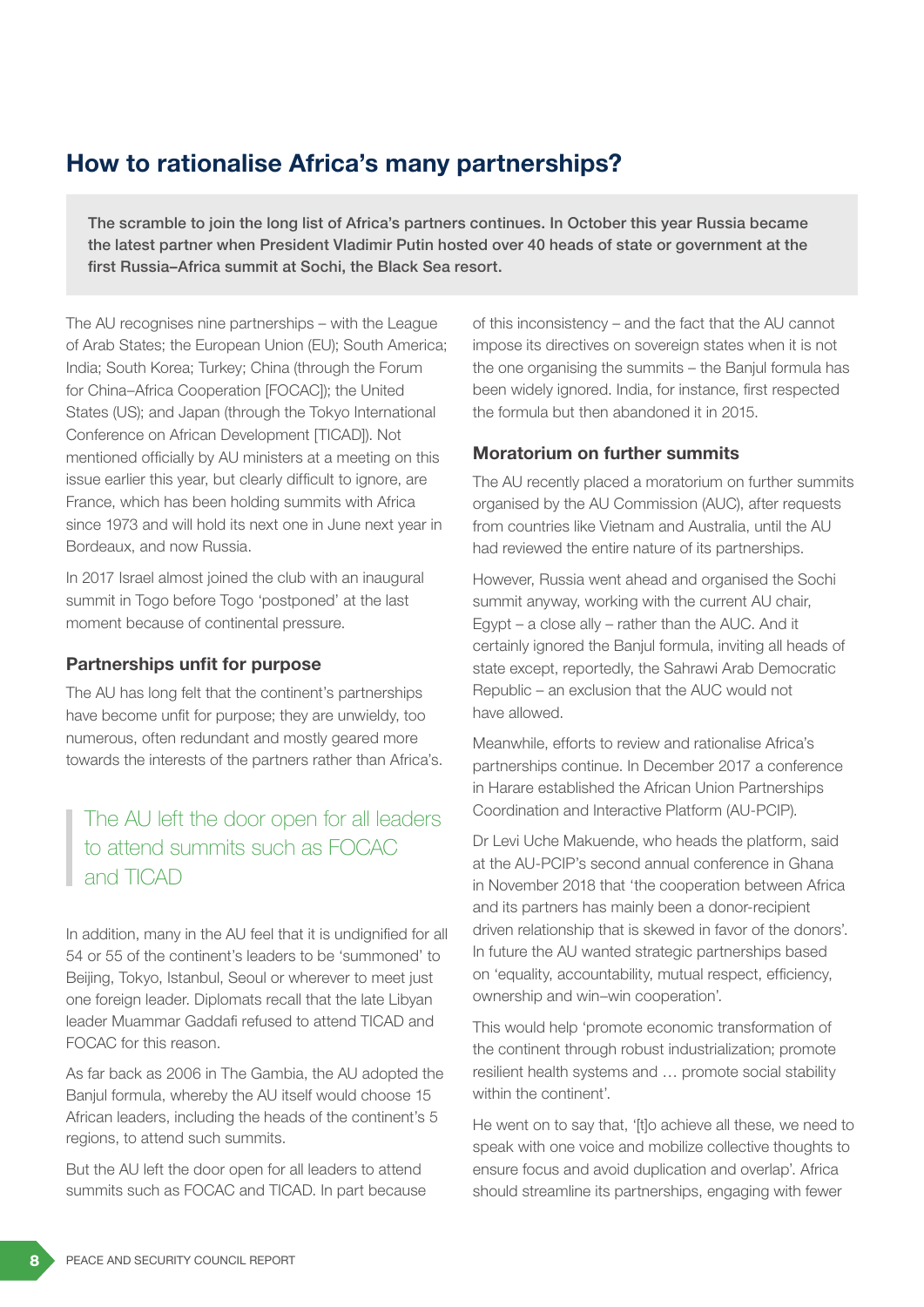# How to rationalise Africa's many partnerships?

The scramble to join the long list of Africa's partners continues. In October this year Russia became the latest partner when President Vladimir Putin hosted over 40 heads of state or government at the first Russia–Africa summit at Sochi, the Black Sea resort.

The AU recognises nine partnerships – with the League of Arab States; the European Union (EU); South America; India; South Korea; Turkey; China (through the Forum for China–Africa Cooperation [FOCAC]); the United States (US); and Japan (through the Tokyo International Conference on African Development [TICAD]). Not mentioned officially by AU ministers at a meeting on this issue earlier this year, but clearly difficult to ignore, are France, which has been holding summits with Africa since 1973 and will hold its next one in June next year in Bordeaux, and now Russia.

In 2017 Israel almost joined the club with an inaugural summit in Togo before Togo 'postponed' at the last moment because of continental pressure.

### Partnerships unfit for purpose

The AU has long felt that the continent's partnerships have become unfit for purpose; they are unwieldy, too numerous, often redundant and mostly geared more towards the interests of the partners rather than Africa's.

# The AU left the door open for all leaders to attend summits such as FOCAC and TICAD

In addition, many in the AU feel that it is undignified for all 54 or 55 of the continent's leaders to be 'summoned' to Beijing, Tokyo, Istanbul, Seoul or wherever to meet just one foreign leader. Diplomats recall that the late Libyan leader Muammar Gaddafi refused to attend TICAD and FOCAC for this reason.

As far back as 2006 in The Gambia, the AU adopted the Banjul formula, whereby the AU itself would choose 15 African leaders, including the heads of the continent's 5 regions, to attend such summits.

But the AU left the door open for all leaders to attend summits such as FOCAC and TICAD. In part because of this inconsistency – and the fact that the AU cannot impose its directives on sovereign states when it is not the one organising the summits – the Banjul formula has been widely ignored. India, for instance, first respected the formula but then abandoned it in 2015.

#### Moratorium on further summits

The AU recently placed a moratorium on further summits organised by the AU Commission (AUC), after requests from countries like Vietnam and Australia, until the AU had reviewed the entire nature of its partnerships.

However, Russia went ahead and organised the Sochi summit anyway, working with the current AU chair, Egypt – a close ally – rather than the AUC. And it certainly ignored the Banjul formula, inviting all heads of state except, reportedly, the Sahrawi Arab Democratic Republic – an exclusion that the AUC would not have allowed.

Meanwhile, efforts to review and rationalise Africa's partnerships continue. In December 2017 a conference in Harare established the African Union Partnerships Coordination and Interactive Platform (AU-PCIP).

Dr Levi Uche Makuende, who heads the platform, said at the AU-PCIP's second annual conference in Ghana in November 2018 that 'the cooperation between Africa and its partners has mainly been a donor-recipient driven relationship that is skewed in favor of the donors'. In future the AU wanted strategic partnerships based on 'equality, accountability, mutual respect, efficiency, ownership and win–win cooperation'.

This would help 'promote economic transformation of the continent through robust industrialization; promote resilient health systems and … promote social stability within the continent'.

He went on to say that, '[t]o achieve all these, we need to speak with one voice and mobilize collective thoughts to ensure focus and avoid duplication and overlap'. Africa should streamline its partnerships, engaging with fewer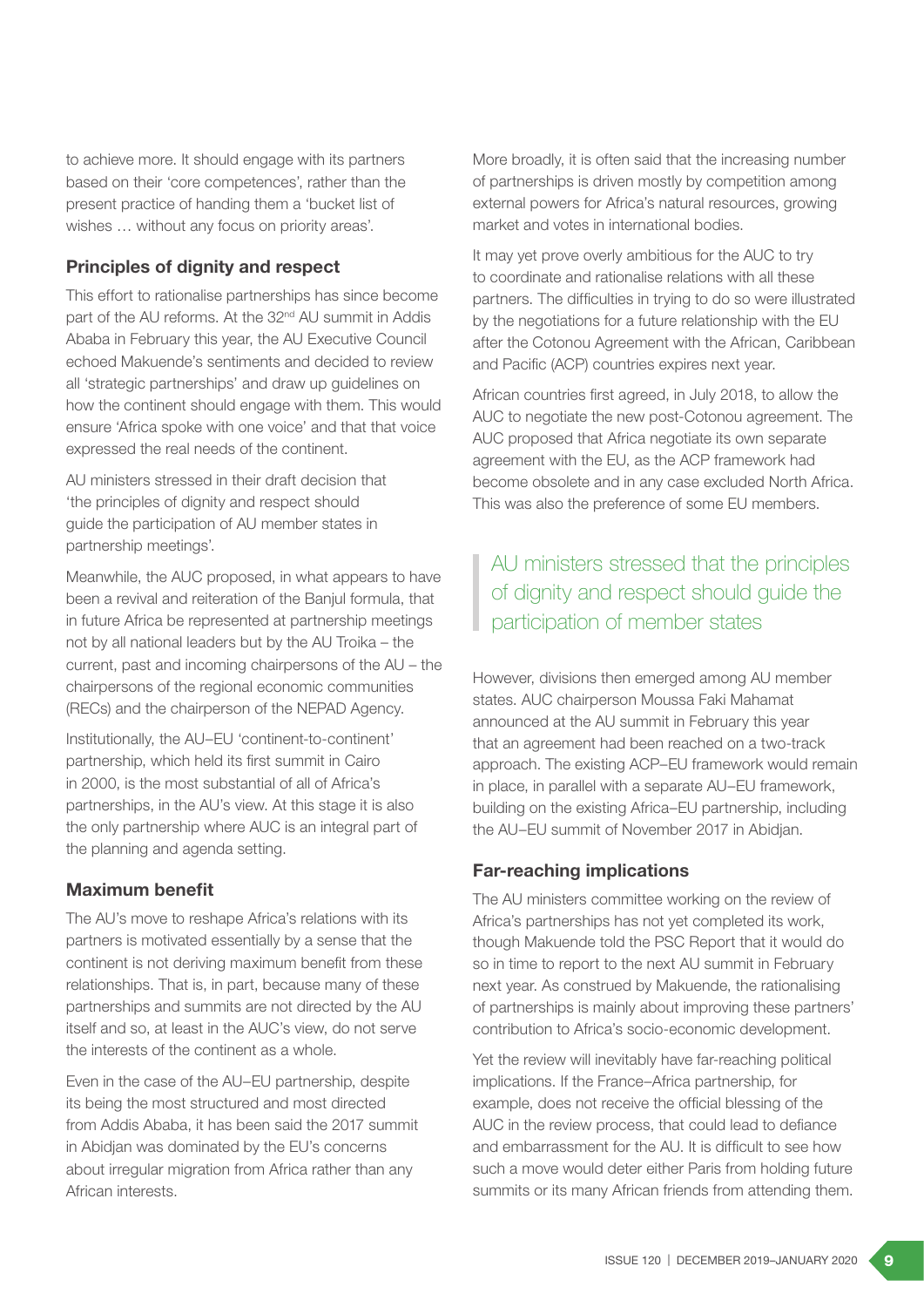to achieve more. It should engage with its partners based on their 'core competences', rather than the present practice of handing them a 'bucket list of wishes … without any focus on priority areas'.

### Principles of dignity and respect

This effort to rationalise partnerships has since become part of the AU reforms. At the 32<sup>nd</sup> AU summit in Addis Ababa in February this year, the AU Executive Council echoed Makuende's sentiments and decided to review all 'strategic partnerships' and draw up guidelines on how the continent should engage with them. This would ensure 'Africa spoke with one voice' and that that voice expressed the real needs of the continent.

AU ministers stressed in their draft decision that 'the principles of dignity and respect should guide the participation of AU member states in partnership meetings'.

Meanwhile, the AUC proposed, in what appears to have been a revival and reiteration of the Banjul formula, that in future Africa be represented at partnership meetings not by all national leaders but by the AU Troika – the current, past and incoming chairpersons of the AU – the chairpersons of the regional economic communities (RECs) and the chairperson of the NEPAD Agency.

Institutionally, the AU–EU 'continent-to-continent' partnership, which held its first summit in Cairo in 2000, is the most substantial of all of Africa's partnerships, in the AU's view. At this stage it is also the only partnership where AUC is an integral part of the planning and agenda setting.

### Maximum benefit

The AU's move to reshape Africa's relations with its partners is motivated essentially by a sense that the continent is not deriving maximum benefit from these relationships. That is, in part, because many of these partnerships and summits are not directed by the AU itself and so, at least in the AUC's view, do not serve the interests of the continent as a whole.

Even in the case of the AU–EU partnership, despite its being the most structured and most directed from Addis Ababa, it has been said the 2017 summit in Abidjan was dominated by the EU's concerns about irregular migration from Africa rather than any African interests.

More broadly, it is often said that the increasing number of partnerships is driven mostly by competition among external powers for Africa's natural resources, growing market and votes in international bodies.

It may yet prove overly ambitious for the AUC to try to coordinate and rationalise relations with all these partners. The difficulties in trying to do so were illustrated by the negotiations for a future relationship with the EU after the Cotonou Agreement with the African, Caribbean and Pacific (ACP) countries expires next year.

African countries first agreed, in July 2018, to allow the AUC to negotiate the new post-Cotonou agreement. The AUC proposed that Africa negotiate its own separate agreement with the EU, as the ACP framework had become obsolete and in any case excluded North Africa. This was also the preference of some EU members.

# AU ministers stressed that the principles of dignity and respect should guide the participation of member states

However, divisions then emerged among AU member states. AUC chairperson Moussa Faki Mahamat announced at the AU summit in February this year that an agreement had been reached on a two-track approach. The existing ACP–EU framework would remain in place, in parallel with a separate AU–EU framework, building on the existing Africa–EU partnership, including the AU–EU summit of November 2017 in Abidjan.

### Far-reaching implications

The AU ministers committee working on the review of Africa's partnerships has not yet completed its work, though Makuende told the PSC Report that it would do so in time to report to the next AU summit in February next year. As construed by Makuende, the rationalising of partnerships is mainly about improving these partners' contribution to Africa's socio-economic development.

Yet the review will inevitably have far-reaching political implications. If the France–Africa partnership, for example, does not receive the official blessing of the AUC in the review process, that could lead to defiance and embarrassment for the AU. It is difficult to see how such a move would deter either Paris from holding future summits or its many African friends from attending them.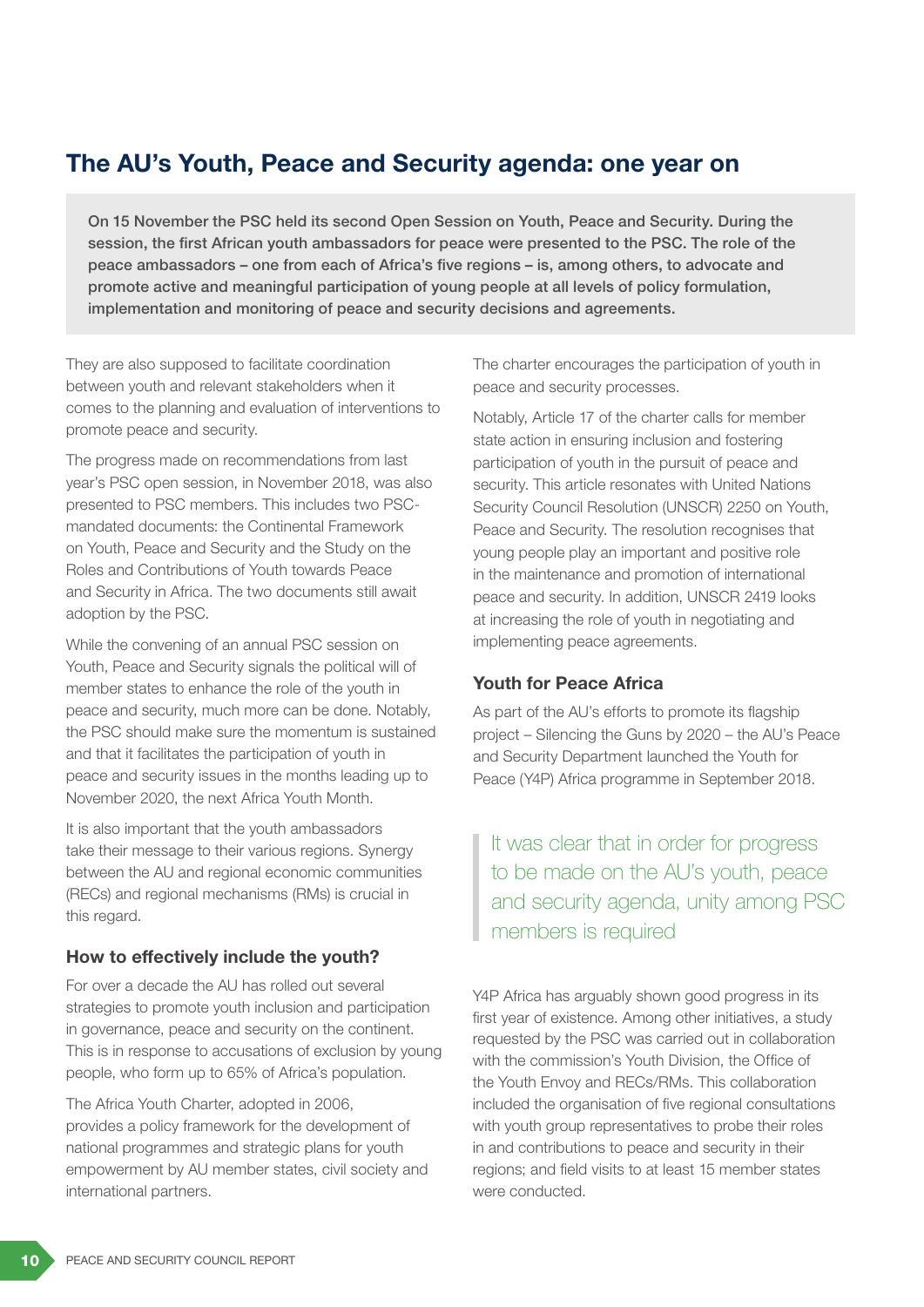# The AU's Youth, Peace and Security agenda: one year on

On 15 November the PSC held its second Open Session on Youth, Peace and Security. During the session, the first African youth ambassadors for peace were presented to the PSC. The role of the peace ambassadors – one from each of Africa's five regions – is, among others, to advocate and promote active and meaningful participation of young people at all levels of policy formulation, implementation and monitoring of peace and security decisions and agreements.

They are also supposed to facilitate coordination between youth and relevant stakeholders when it comes to the planning and evaluation of interventions to promote peace and security.

The progress made on recommendations from last year's PSC open session, in November 2018, was also presented to PSC members. This includes two PSCmandated documents: the Continental Framework on Youth, Peace and Security and the Study on the Roles and Contributions of Youth towards Peace and Security in Africa. The two documents still await adoption by the PSC.

While the convening of an annual PSC session on Youth, Peace and Security signals the political will of member states to enhance the role of the youth in peace and security, much more can be done. Notably, the PSC should make sure the momentum is sustained and that it facilitates the participation of youth in peace and security issues in the months leading up to November 2020, the next Africa Youth Month.

It is also important that the youth ambassadors take their message to their various regions. Synergy between the AU and regional economic communities (RECs) and regional mechanisms (RMs) is crucial in this regard.

### How to effectively include the youth?

For over a decade the AU has rolled out several strategies to promote youth inclusion and participation in governance, peace and security on the continent. This is in response to accusations of exclusion by young people, who form up to 65% of Africa's population.

The Africa Youth Charter, adopted in 2006, provides a policy framework for the development of national programmes and strategic plans for youth empowerment by AU member states, civil society and international partners.

The charter encourages the participation of youth in peace and security processes.

Notably, Article 17 of the charter calls for member state action in ensuring inclusion and fostering participation of youth in the pursuit of peace and security. This article resonates with United Nations Security Council Resolution (UNSCR) 2250 on Youth, Peace and Security. The resolution recognises that young people play an important and positive role in the maintenance and promotion of international peace and security. In addition, UNSCR 2419 looks at increasing the role of youth in negotiating and implementing peace agreements.

### Youth for Peace Africa

As part of the AU's efforts to promote its flagship project – Silencing the Guns by 2020 – the AU's Peace and Security Department launched the Youth for Peace (Y4P) Africa programme in September 2018.

It was clear that in order for progress to be made on the AU's youth, peace and security agenda, unity among PSC members is required

Y4P Africa has arguably shown good progress in its first year of existence. Among other initiatives, a study requested by the PSC was carried out in collaboration with the commission's Youth Division, the Office of the Youth Envoy and RECs/RMs. This collaboration included the organisation of five regional consultations with youth group representatives to probe their roles in and contributions to peace and security in their regions; and field visits to at least 15 member states were conducted.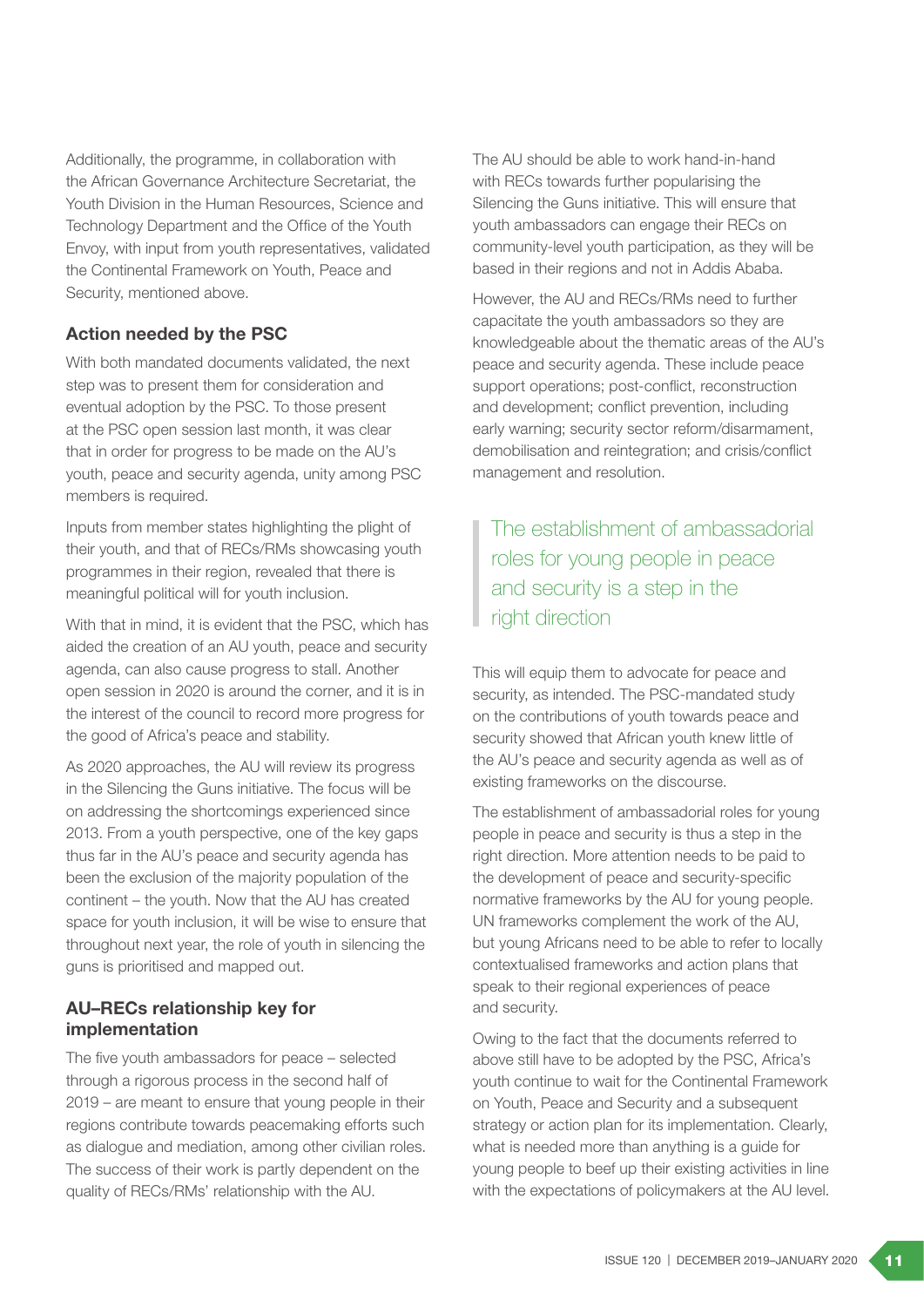Additionally, the programme, in collaboration with the African Governance Architecture Secretariat, the Youth Division in the Human Resources, Science and Technology Department and the Office of the Youth Envoy, with input from youth representatives, validated the Continental Framework on Youth, Peace and Security, mentioned above.

### Action needed by the PSC

With both mandated documents validated, the next step was to present them for consideration and eventual adoption by the PSC. To those present at the PSC open session last month, it was clear that in order for progress to be made on the AU's youth, peace and security agenda, unity among PSC members is required.

Inputs from member states highlighting the plight of their youth, and that of RECs/RMs showcasing youth programmes in their region, revealed that there is meaningful political will for youth inclusion.

With that in mind, it is evident that the PSC, which has aided the creation of an AU youth, peace and security agenda, can also cause progress to stall. Another open session in 2020 is around the corner, and it is in the interest of the council to record more progress for the good of Africa's peace and stability.

As 2020 approaches, the AU will review its progress in the Silencing the Guns initiative. The focus will be on addressing the shortcomings experienced since 2013. From a youth perspective, one of the key gaps thus far in the AU's peace and security agenda has been the exclusion of the majority population of the continent – the youth. Now that the AU has created space for youth inclusion, it will be wise to ensure that throughout next year, the role of youth in silencing the guns is prioritised and mapped out.

### AU–RECs relationship key for implementation

The five youth ambassadors for peace – selected through a rigorous process in the second half of 2019 – are meant to ensure that young people in their regions contribute towards peacemaking efforts such as dialogue and mediation, among other civilian roles. The success of their work is partly dependent on the quality of RECs/RMs' relationship with the AU.

The AU should be able to work hand-in-hand with RECs towards further popularising the Silencing the Guns initiative. This will ensure that youth ambassadors can engage their RECs on community-level youth participation, as they will be based in their regions and not in Addis Ababa.

However, the AU and RECs/RMs need to further capacitate the youth ambassadors so they are knowledgeable about the thematic areas of the AU's peace and security agenda. These include peace support operations; post-conflict, reconstruction and development; conflict prevention, including early warning; security sector reform/disarmament, demobilisation and reintegration; and crisis/conflict management and resolution.

The establishment of ambassadorial roles for young people in peace and security is a step in the right direction

This will equip them to advocate for peace and security, as intended. The PSC-mandated study on the contributions of youth towards peace and security showed that African youth knew little of the AU's peace and security agenda as well as of existing frameworks on the discourse.

The establishment of ambassadorial roles for young people in peace and security is thus a step in the right direction. More attention needs to be paid to the development of peace and security-specific normative frameworks by the AU for young people. UN frameworks complement the work of the AU, but young Africans need to be able to refer to locally contextualised frameworks and action plans that speak to their regional experiences of peace and security.

Owing to the fact that the documents referred to above still have to be adopted by the PSC, Africa's youth continue to wait for the Continental Framework on Youth, Peace and Security and a subsequent strategy or action plan for its implementation. Clearly, what is needed more than anything is a guide for young people to beef up their existing activities in line with the expectations of policymakers at the AU level.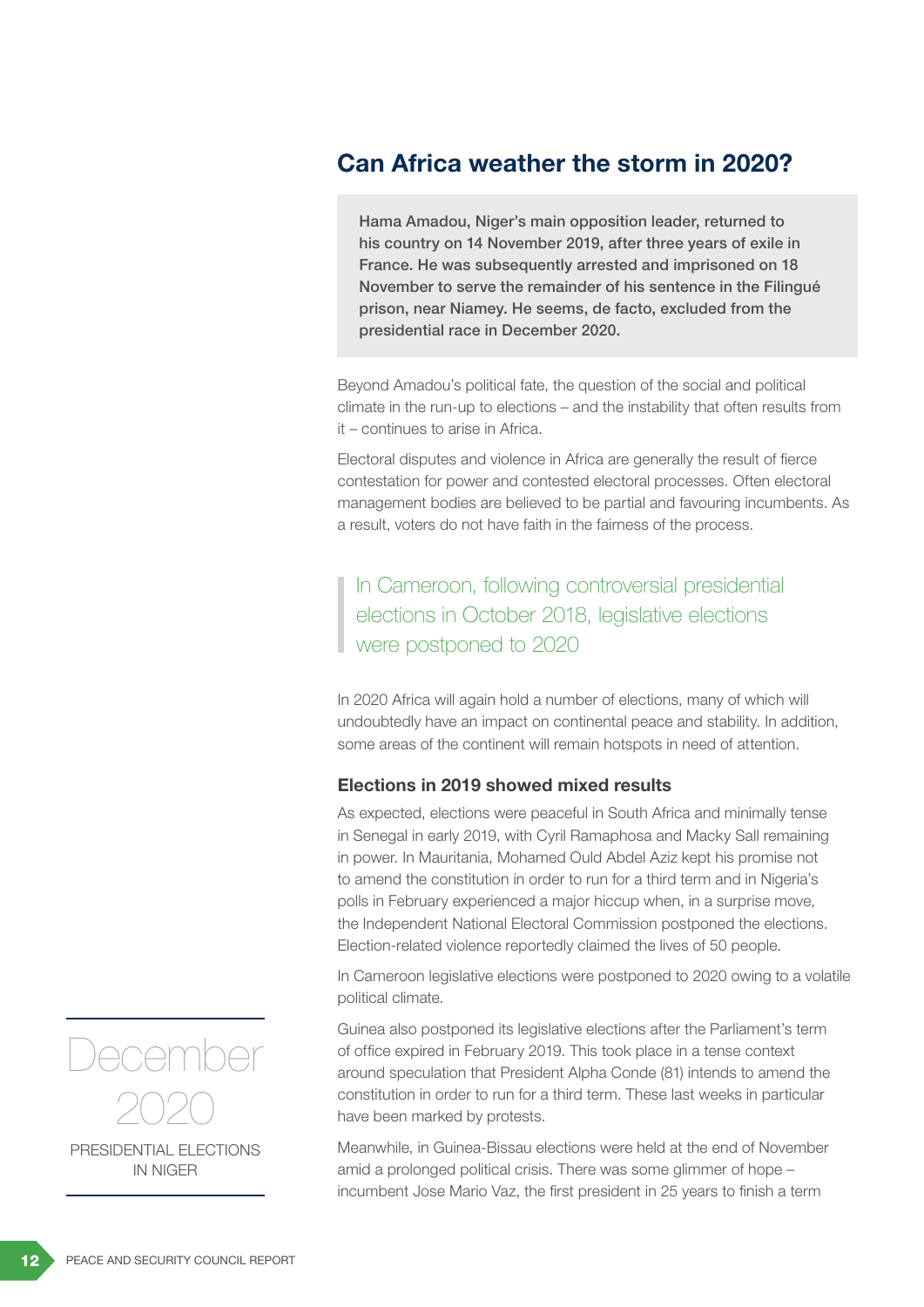### Can Africa weather the storm in 2020?

Hama Amadou, Niger's main opposition leader, returned to his country on 14 November 2019, after three years of exile in France. He was subsequently arrested and imprisoned on 18 November to serve the remainder of his sentence in the Filingué prison, near Niamey. He seems, de facto, excluded from the presidential race in December 2020.

Beyond Amadou's political fate, the question of the social and political climate in the run-up to elections – and the instability that often results from it – continues to arise in Africa.

Electoral disputes and violence in Africa are generally the result of fierce contestation for power and contested electoral processes. Often electoral management bodies are believed to be partial and favouring incumbents. As a result, voters do not have faith in the fairness of the process.

In Cameroon, following controversial presidential elections in October 2018, legislative elections were postponed to 2020

In 2020 Africa will again hold a number of elections, many of which will undoubtedly have an impact on continental peace and stability. In addition, some areas of the continent will remain hotspots in need of attention.

### Elections in 2019 showed mixed results

As expected, elections were peaceful in South Africa and minimally tense in Senegal in early 2019, with Cyril Ramaphosa and Macky Sall remaining in power. In Mauritania, Mohamed Ould Abdel Aziz kept his promise not to amend the constitution in order to run for a third term and in Nigeria's polls in February experienced a major hiccup when, in a surprise move, the Independent National Electoral Commission postponed the elections. Election-related violence reportedly claimed the lives of 50 people.

In Cameroon legislative elections were postponed to 2020 owing to a volatile political climate.

Guinea also postponed its legislative elections after the Parliament's term of office expired in February 2019. This took place in a tense context around speculation that President Alpha Conde (81) intends to amend the constitution in order to run for a third term. These last weeks in particular have been marked by protests.

Meanwhile, in Guinea-Bissau elections were held at the end of November amid a prolonged political crisis. There was some glimmer of hope – incumbent Jose Mario Vaz, the first president in 25 years to finish a term



PRESIDENTIAL ELECTIONS IN NIGER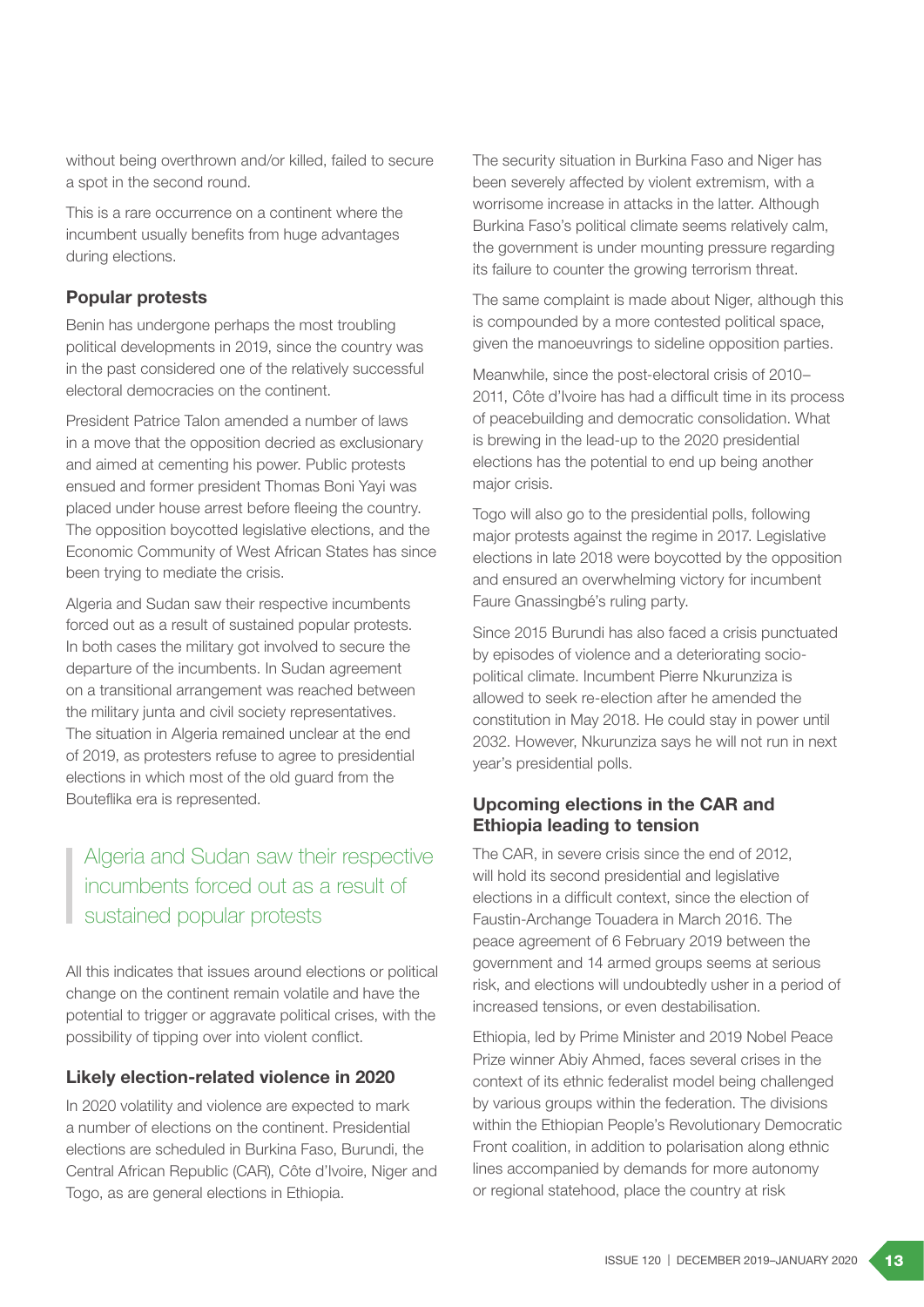without being overthrown and/or killed, failed to secure a spot in the second round.

This is a rare occurrence on a continent where the incumbent usually benefits from huge advantages during elections.

#### Popular protests

Benin has undergone perhaps the most troubling political developments in 2019, since the country was in the past considered one of the relatively successful electoral democracies on the continent.

President Patrice Talon amended a number of laws in a move that the opposition decried as exclusionary and aimed at cementing his power. Public protests ensued and former president Thomas Boni Yayi was placed under house arrest before fleeing the country. The opposition boycotted legislative elections, and the Economic Community of West African States has since been trying to mediate the crisis.

Algeria and Sudan saw their respective incumbents forced out as a result of sustained popular protests. In both cases the military got involved to secure the departure of the incumbents. In Sudan agreement on a transitional arrangement was reached between the military junta and civil society representatives. The situation in Algeria remained unclear at the end of 2019, as protesters refuse to agree to presidential elections in which most of the old guard from the Bouteflika era is represented.

# Algeria and Sudan saw their respective incumbents forced out as a result of sustained popular protests

All this indicates that issues around elections or political change on the continent remain volatile and have the potential to trigger or aggravate political crises, with the possibility of tipping over into violent conflict.

### Likely election-related violence in 2020

In 2020 volatility and violence are expected to mark a number of elections on the continent. Presidential elections are scheduled in Burkina Faso, Burundi, the Central African Republic (CAR), Côte d'Ivoire, Niger and Togo, as are general elections in Ethiopia.

The security situation in Burkina Faso and Niger has been severely affected by violent extremism, with a worrisome increase in attacks in the latter. Although Burkina Faso's political climate seems relatively calm, the government is under mounting pressure regarding its failure to counter the growing terrorism threat.

The same complaint is made about Niger, although this is compounded by a more contested political space, given the manoeuvrings to sideline opposition parties.

Meanwhile, since the post-electoral crisis of 2010– 2011, Côte d'Ivoire has had a difficult time in its process of peacebuilding and democratic consolidation. What is brewing in the lead-up to the 2020 presidential elections has the potential to end up being another major crisis.

Togo will also go to the presidential polls, following major protests against the regime in 2017. Legislative elections in late 2018 were boycotted by the opposition and ensured an overwhelming victory for incumbent Faure Gnassingbé's ruling party.

Since 2015 Burundi has also faced a crisis punctuated by episodes of violence and a deteriorating sociopolitical climate. Incumbent Pierre Nkurunziza is allowed to seek re-election after he amended the constitution in May 2018. He could stay in power until 2032. However, Nkurunziza says he will not run in next year's presidential polls.

### Upcoming elections in the CAR and Ethiopia leading to tension

The CAR, in severe crisis since the end of 2012, will hold its second presidential and legislative elections in a difficult context, since the election of Faustin-Archange Touadera in March 2016. The peace agreement of 6 February 2019 between the government and 14 armed groups seems at serious risk, and elections will undoubtedly usher in a period of increased tensions, or even destabilisation.

Ethiopia, led by Prime Minister and 2019 Nobel Peace Prize winner Abiy Ahmed, faces several crises in the context of its ethnic federalist model being challenged by various groups within the federation. The divisions within the Ethiopian People's Revolutionary Democratic Front coalition, in addition to polarisation along ethnic lines accompanied by demands for more autonomy or regional statehood, place the country at risk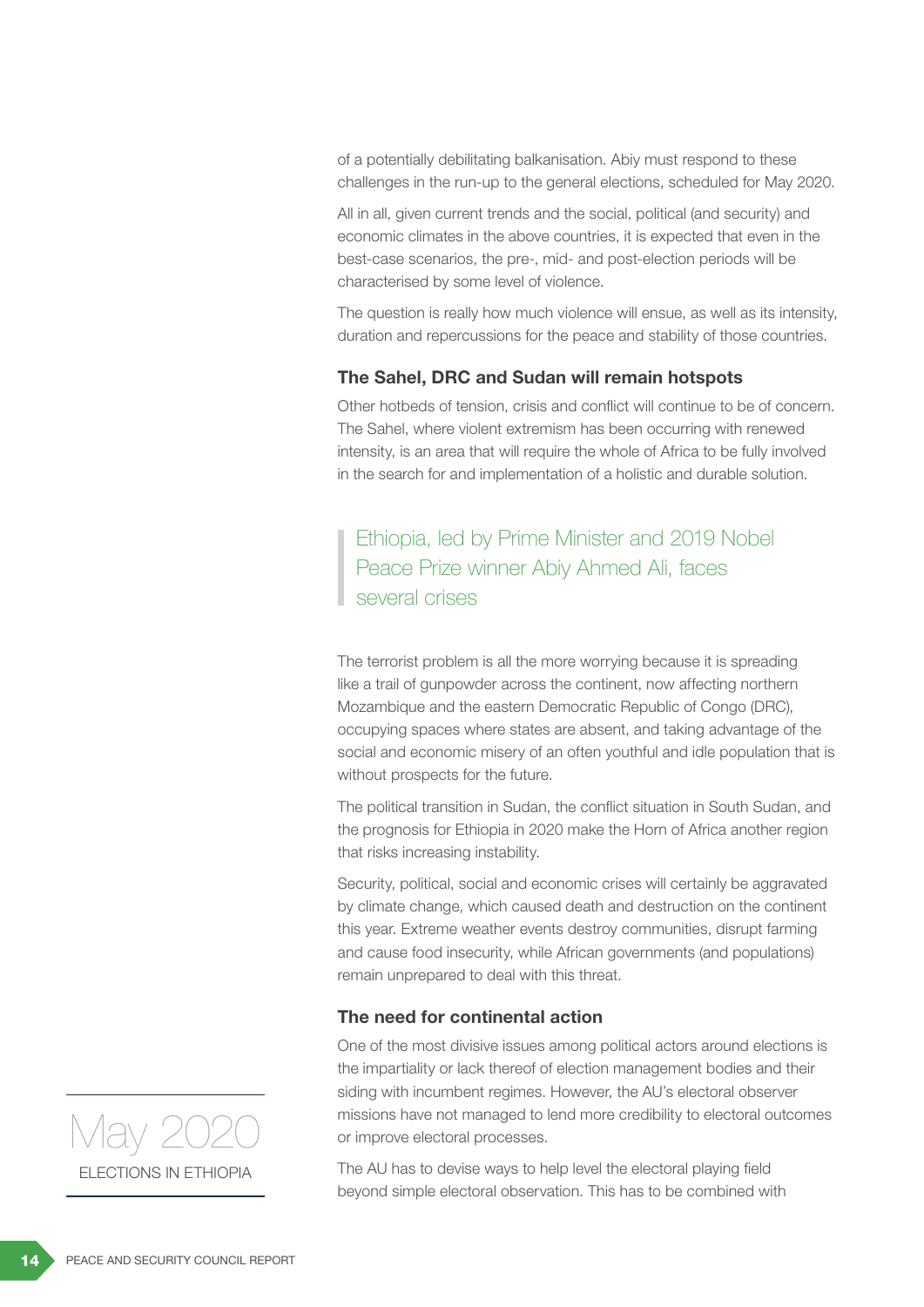of a potentially debilitating balkanisation. Abiy must respond to these challenges in the run-up to the general elections, scheduled for May 2020.

All in all, given current trends and the social, political (and security) and economic climates in the above countries, it is expected that even in the best-case scenarios, the pre-, mid- and post-election periods will be characterised by some level of violence.

The question is really how much violence will ensue, as well as its intensity, duration and repercussions for the peace and stability of those countries.

### The Sahel, DRC and Sudan will remain hotspots

Other hotbeds of tension, crisis and conflict will continue to be of concern. The Sahel, where violent extremism has been occurring with renewed intensity, is an area that will require the whole of Africa to be fully involved in the search for and implementation of a holistic and durable solution.

Ethiopia, led by Prime Minister and 2019 Nobel Peace Prize winner Abiy Ahmed Ali, faces several crises

The terrorist problem is all the more worrying because it is spreading like a trail of gunpowder across the continent, now affecting northern Mozambique and the eastern Democratic Republic of Congo (DRC), occupying spaces where states are absent, and taking advantage of the social and economic misery of an often youthful and idle population that is without prospects for the future.

The political transition in Sudan, the conflict situation in South Sudan, and the prognosis for Ethiopia in 2020 make the Horn of Africa another region that risks increasing instability.

Security, political, social and economic crises will certainly be aggravated by climate change, which caused death and destruction on the continent this year. Extreme weather events destroy communities, disrupt farming and cause food insecurity, while African governments (and populations) remain unprepared to deal with this threat.

#### The need for continental action

One of the most divisive issues among political actors around elections is the impartiality or lack thereof of election management bodies and their siding with incumbent regimes. However, the AU's electoral observer missions have not managed to lend more credibility to electoral outcomes or improve electoral processes.

The AU has to devise ways to help level the electoral playing field beyond simple electoral observation. This has to be combined with

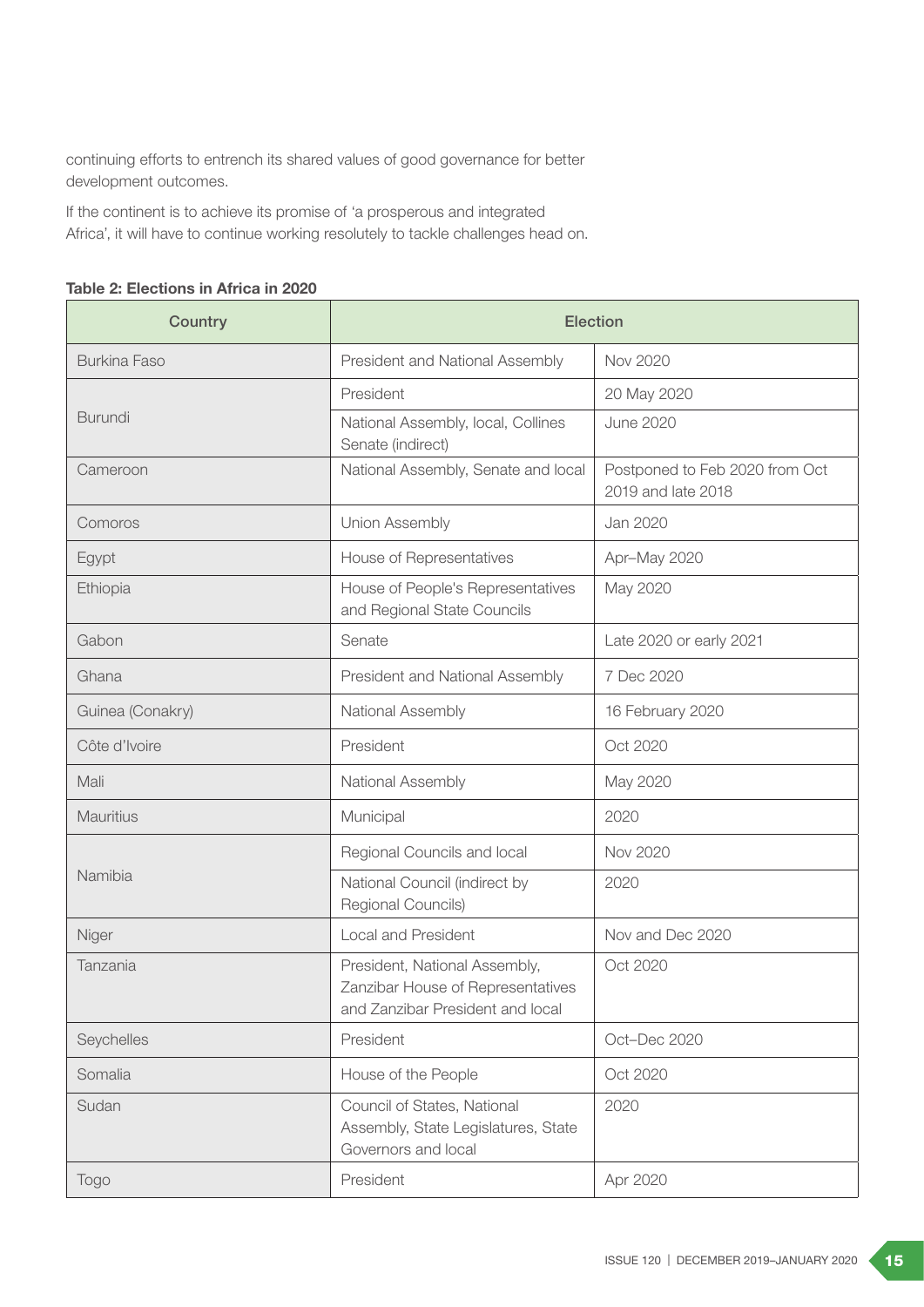continuing efforts to entrench its shared values of good governance for better development outcomes.

If the continent is to achieve its promise of 'a prosperous and integrated Africa', it will have to continue working resolutely to tackle challenges head on.

| Country             | <b>Election</b>                                                                                        |                                                      |
|---------------------|--------------------------------------------------------------------------------------------------------|------------------------------------------------------|
| <b>Burkina Faso</b> | President and National Assembly                                                                        | Nov 2020                                             |
| <b>Burundi</b>      | President                                                                                              | 20 May 2020                                          |
|                     | National Assembly, local, Collines<br>Senate (indirect)                                                | <b>June 2020</b>                                     |
| Cameroon            | National Assembly, Senate and local                                                                    | Postponed to Feb 2020 from Oct<br>2019 and late 2018 |
| Comoros             | <b>Union Assembly</b>                                                                                  | Jan 2020                                             |
| Egypt               | House of Representatives                                                                               | Apr-May 2020                                         |
| Ethiopia            | House of People's Representatives<br>and Regional State Councils                                       | May 2020                                             |
| Gabon               | Senate                                                                                                 | Late 2020 or early 2021                              |
| Ghana               | President and National Assembly                                                                        | 7 Dec 2020                                           |
| Guinea (Conakry)    | National Assembly                                                                                      | 16 February 2020                                     |
| Côte d'Ivoire       | President                                                                                              | Oct 2020                                             |
| Mali                | National Assembly                                                                                      | May 2020                                             |
| <b>Mauritius</b>    | Municipal                                                                                              | 2020                                                 |
| Namibia             | Regional Councils and local                                                                            | Nov 2020                                             |
|                     | National Council (indirect by<br>Regional Councils)                                                    | 2020                                                 |
| Niger               | <b>Local and President</b>                                                                             | Nov and Dec 2020                                     |
| Tanzania            | President, National Assembly,<br>Zanzibar House of Representatives<br>and Zanzibar President and local | Oct 2020                                             |
| Seychelles          | President                                                                                              | Oct-Dec 2020                                         |
| Somalia             | House of the People                                                                                    | Oct 2020                                             |
| Sudan               | Council of States, National<br>Assembly, State Legislatures, State<br>Governors and local              | 2020                                                 |
| Togo                | President                                                                                              | Apr 2020                                             |

#### Table 2: Elections in Africa in 2020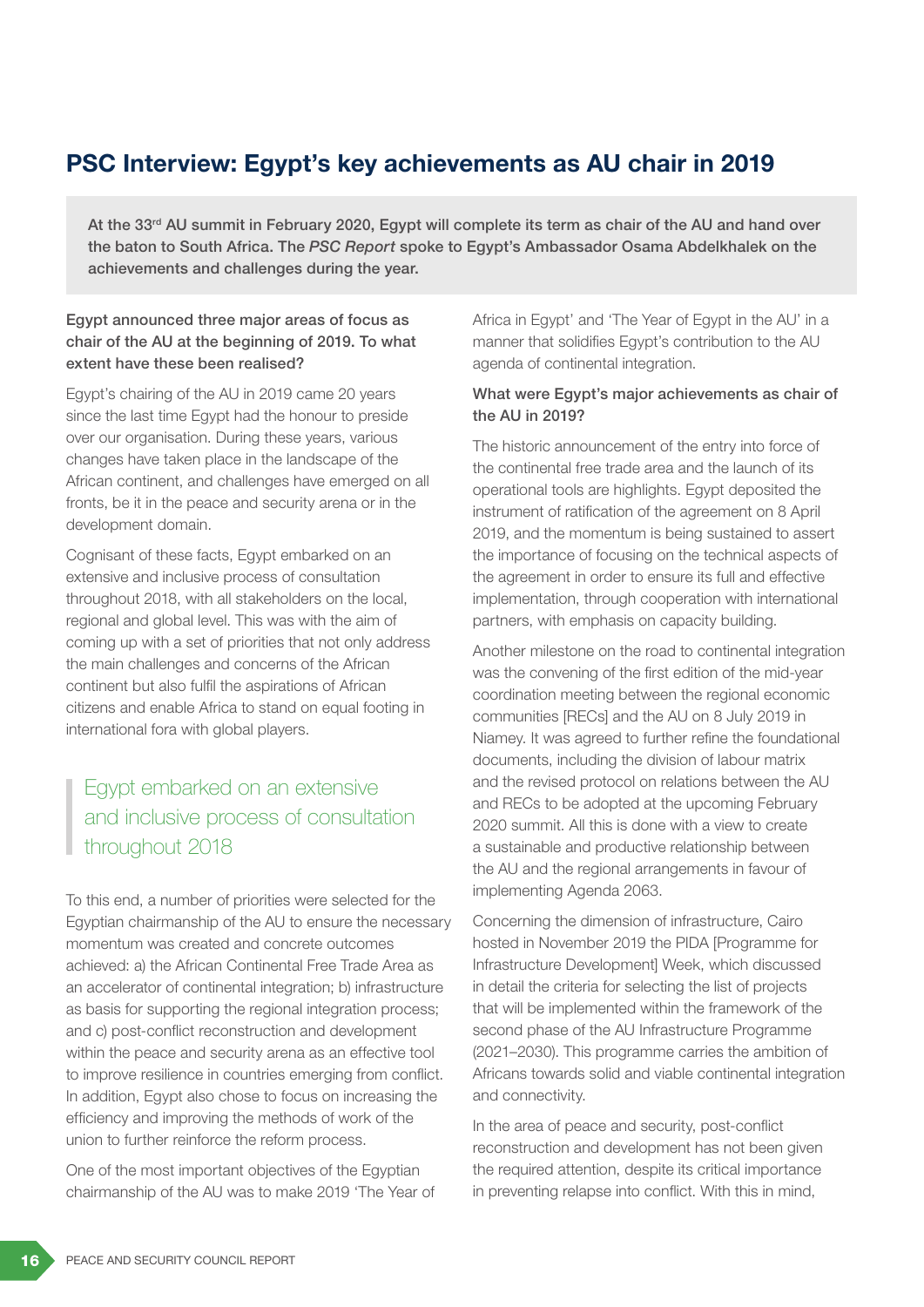# PSC Interview: Egypt's key achievements as AU chair in 2019

At the 33<sup>rd</sup> AU summit in February 2020, Egypt will complete its term as chair of the AU and hand over the baton to South Africa. The *PSC Report* spoke to Egypt's Ambassador Osama Abdelkhalek on the achievements and challenges during the year.

### Egypt announced three major areas of focus as chair of the AU at the beginning of 2019. To what extent have these been realised?

Egypt's chairing of the AU in 2019 came 20 years since the last time Egypt had the honour to preside over our organisation. During these years, various changes have taken place in the landscape of the African continent, and challenges have emerged on all fronts, be it in the peace and security arena or in the development domain.

Cognisant of these facts, Egypt embarked on an extensive and inclusive process of consultation throughout 2018, with all stakeholders on the local, regional and global level. This was with the aim of coming up with a set of priorities that not only address the main challenges and concerns of the African continent but also fulfil the aspirations of African citizens and enable Africa to stand on equal footing in international fora with global players.

# Egypt embarked on an extensive and inclusive process of consultation throughout 2018

To this end, a number of priorities were selected for the Egyptian chairmanship of the AU to ensure the necessary momentum was created and concrete outcomes achieved: a) the African Continental Free Trade Area as an accelerator of continental integration; b) infrastructure as basis for supporting the regional integration process; and c) post-conflict reconstruction and development within the peace and security arena as an effective tool to improve resilience in countries emerging from conflict. In addition, Egypt also chose to focus on increasing the efficiency and improving the methods of work of the union to further reinforce the reform process.

One of the most important objectives of the Egyptian chairmanship of the AU was to make 2019 'The Year of Africa in Egypt' and 'The Year of Egypt in the AU' in a manner that solidifies Egypt's contribution to the AU agenda of continental integration.

#### What were Egypt's major achievements as chair of the AU in 2019?

The historic announcement of the entry into force of the continental free trade area and the launch of its operational tools are highlights. Egypt deposited the instrument of ratification of the agreement on 8 April 2019, and the momentum is being sustained to assert the importance of focusing on the technical aspects of the agreement in order to ensure its full and effective implementation, through cooperation with international partners, with emphasis on capacity building.

Another milestone on the road to continental integration was the convening of the first edition of the mid-year coordination meeting between the regional economic communities [RECs] and the AU on 8 July 2019 in Niamey. It was agreed to further refine the foundational documents, including the division of labour matrix and the revised protocol on relations between the AU and RECs to be adopted at the upcoming February 2020 summit. All this is done with a view to create a sustainable and productive relationship between the AU and the regional arrangements in favour of implementing Agenda 2063.

Concerning the dimension of infrastructure, Cairo hosted in November 2019 the PIDA [Programme for Infrastructure Development] Week, which discussed in detail the criteria for selecting the list of projects that will be implemented within the framework of the second phase of the AU Infrastructure Programme (2021–2030). This programme carries the ambition of Africans towards solid and viable continental integration and connectivity.

In the area of peace and security, post-conflict reconstruction and development has not been given the required attention, despite its critical importance in preventing relapse into conflict. With this in mind,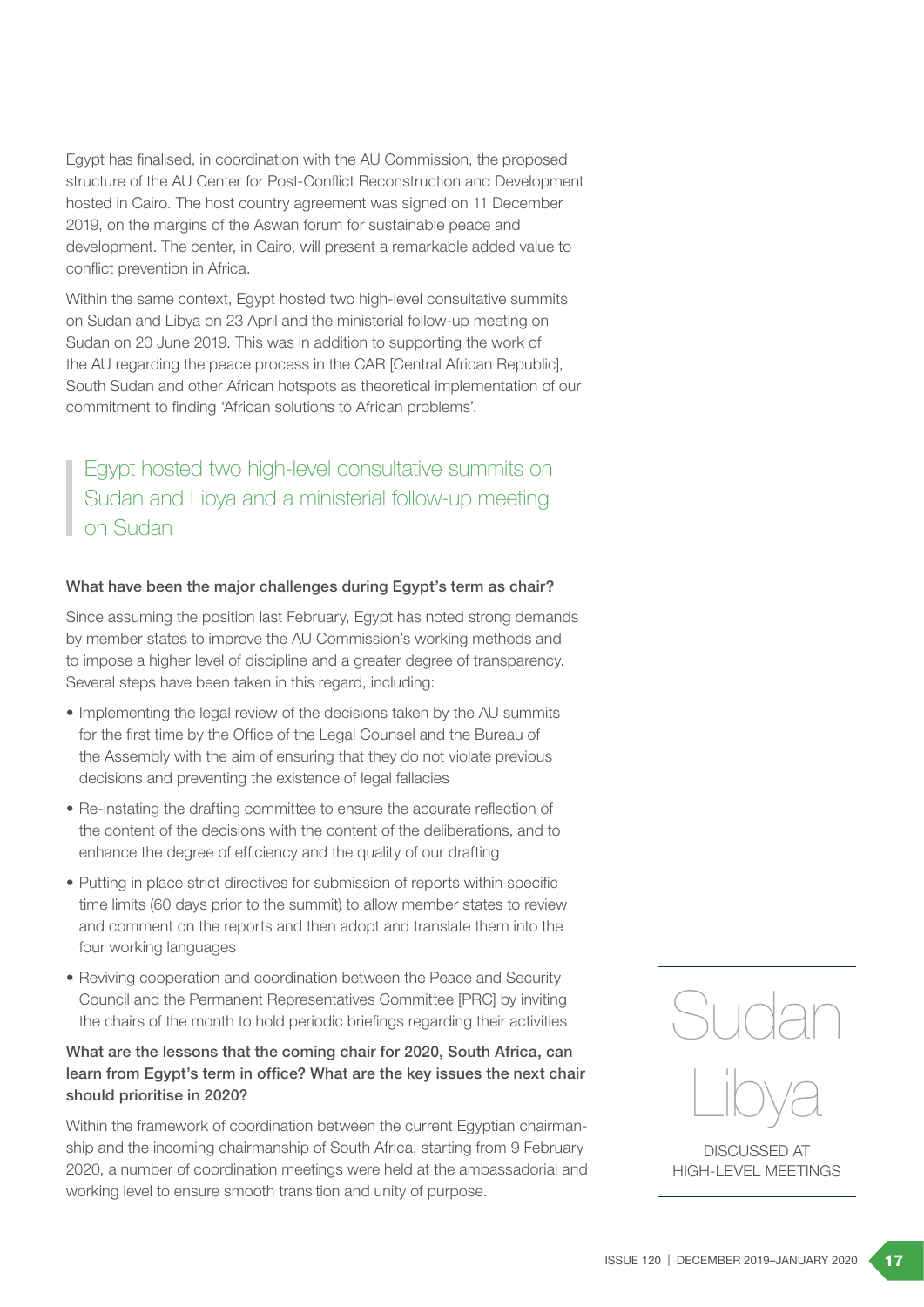Egypt has finalised, in coordination with the AU Commission, the proposed structure of the AU Center for Post-Conflict Reconstruction and Development hosted in Cairo. The host country agreement was signed on 11 December 2019, on the margins of the Aswan forum for sustainable peace and development. The center, in Cairo, will present a remarkable added value to conflict prevention in Africa.

Within the same context, Egypt hosted two high-level consultative summits on Sudan and Libya on 23 April and the ministerial follow-up meeting on Sudan on 20 June 2019. This was in addition to supporting the work of the AU regarding the peace process in the CAR [Central African Republic], South Sudan and other African hotspots as theoretical implementation of our commitment to finding 'African solutions to African problems'.

Egypt hosted two high-level consultative summits on Sudan and Libya and a ministerial follow-up meeting on Sudan

#### What have been the major challenges during Egypt's term as chair?

Since assuming the position last February, Egypt has noted strong demands by member states to improve the AU Commission's working methods and to impose a higher level of discipline and a greater degree of transparency. Several steps have been taken in this regard, including:

- Implementing the legal review of the decisions taken by the AU summits for the first time by the Office of the Legal Counsel and the Bureau of the Assembly with the aim of ensuring that they do not violate previous decisions and preventing the existence of legal fallacies
- Re-instating the drafting committee to ensure the accurate reflection of the content of the decisions with the content of the deliberations, and to enhance the degree of efficiency and the quality of our drafting
- Putting in place strict directives for submission of reports within specific time limits (60 days prior to the summit) to allow member states to review and comment on the reports and then adopt and translate them into the four working languages
- Reviving cooperation and coordination between the Peace and Security Council and the Permanent Representatives Committee [PRC] by inviting the chairs of the month to hold periodic briefings regarding their activities

### What are the lessons that the coming chair for 2020, South Africa, can learn from Egypt's term in office? What are the key issues the next chair should prioritise in 2020?

Within the framework of coordination between the current Egyptian chairmanship and the incoming chairmanship of South Africa, starting from 9 February 2020, a number of coordination meetings were held at the ambassadorial and working level to ensure smooth transition and unity of purpose.



DISCUSSED AT HIGH-LEVEL MEETINGS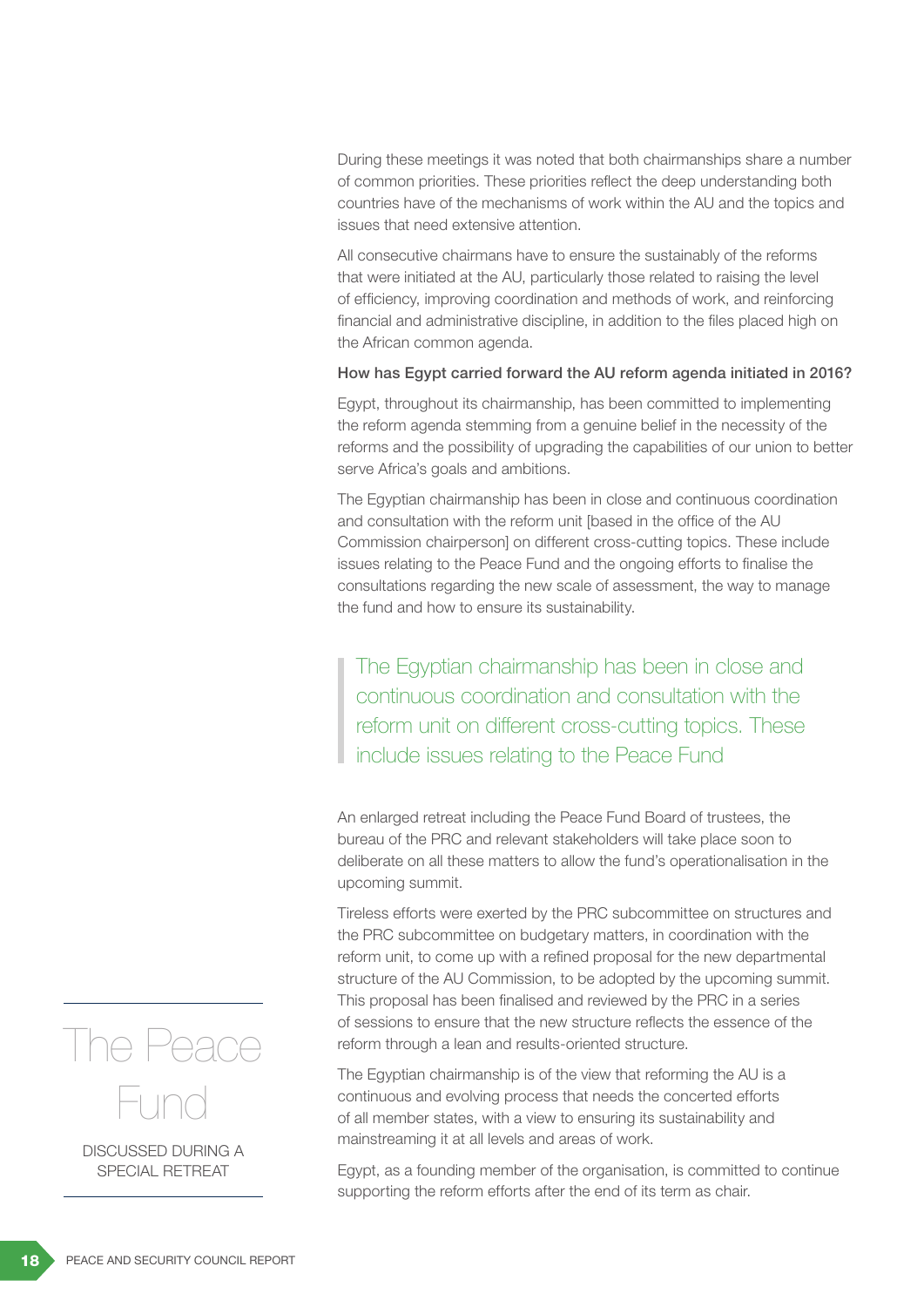During these meetings it was noted that both chairmanships share a number of common priorities. These priorities reflect the deep understanding both countries have of the mechanisms of work within the AU and the topics and issues that need extensive attention.

All consecutive chairmans have to ensure the sustainably of the reforms that were initiated at the AU, particularly those related to raising the level of efficiency, improving coordination and methods of work, and reinforcing financial and administrative discipline, in addition to the files placed high on the African common agenda.

#### How has Egypt carried forward the AU reform agenda initiated in 2016?

Egypt, throughout its chairmanship, has been committed to implementing the reform agenda stemming from a genuine belief in the necessity of the reforms and the possibility of upgrading the capabilities of our union to better serve Africa's goals and ambitions.

The Egyptian chairmanship has been in close and continuous coordination and consultation with the reform unit [based in the office of the AU Commission chairperson] on different cross-cutting topics. These include issues relating to the Peace Fund and the ongoing efforts to finalise the consultations regarding the new scale of assessment, the way to manage the fund and how to ensure its sustainability.

The Egyptian chairmanship has been in close and continuous coordination and consultation with the reform unit on different cross-cutting topics. These include issues relating to the Peace Fund

An enlarged retreat including the Peace Fund Board of trustees, the bureau of the PRC and relevant stakeholders will take place soon to deliberate on all these matters to allow the fund's operationalisation in the upcoming summit.

Tireless efforts were exerted by the PRC subcommittee on structures and the PRC subcommittee on budgetary matters, in coordination with the reform unit, to come up with a refined proposal for the new departmental structure of the AU Commission, to be adopted by the upcoming summit. This proposal has been finalised and reviewed by the PRC in a series of sessions to ensure that the new structure reflects the essence of the reform through a lean and results-oriented structure.

The Egyptian chairmanship is of the view that reforming the AU is a continuous and evolving process that needs the concerted efforts of all member states, with a view to ensuring its sustainability and mainstreaming it at all levels and areas of work.

Egypt, as a founding member of the organisation, is committed to continue supporting the reform efforts after the end of its term as chair.



DISCUSSED DURING A SPECIAL RETREAT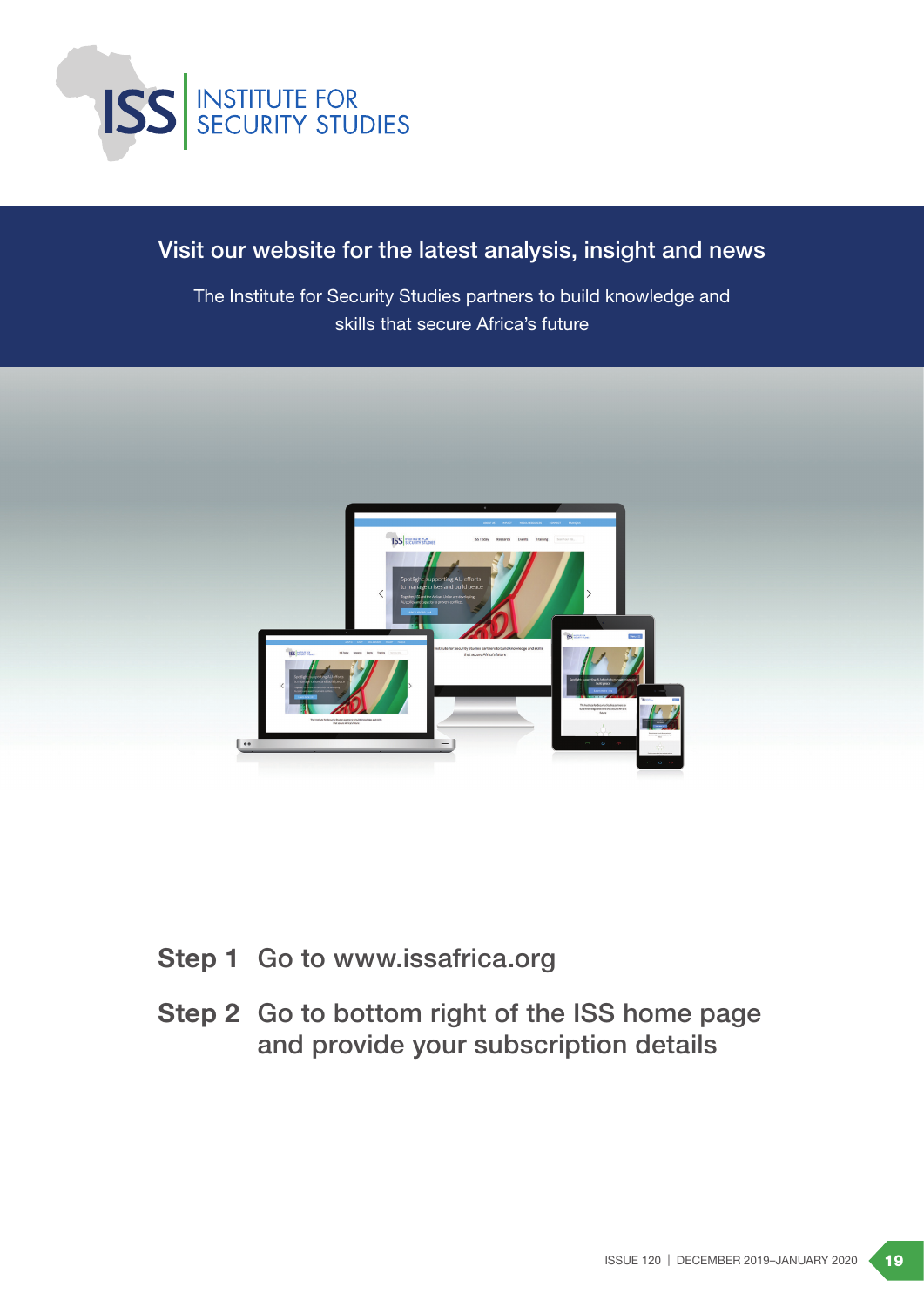

# Visit our website for the latest analysis, insight and news

The Institute for Security Studies partners to build knowledge and skills that secure Africa's future



- Step 1 Go to www.issafrica.org
- Step 2 Go to bottom right of the ISS home page and provide your subscription details